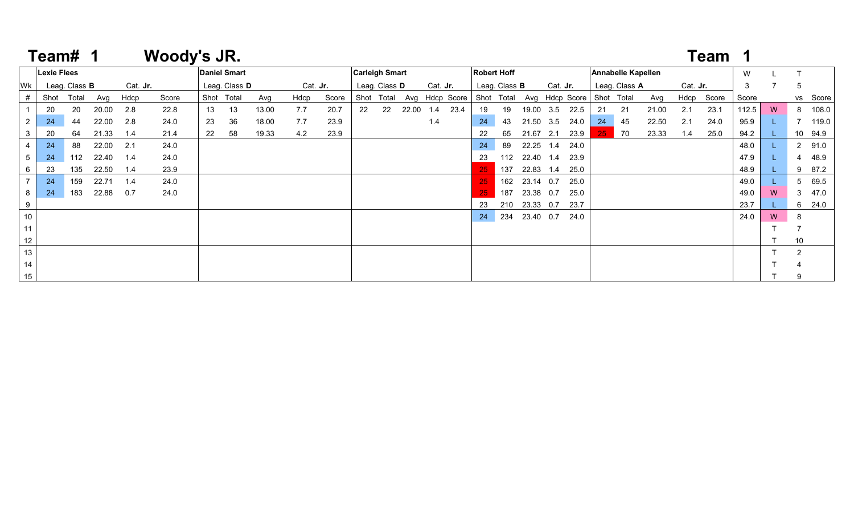|     | Team#              |                      |       |          | <b>Woody's JR.</b> |    |                     |       |      |          |    |                       |       |          |                                                                |                    |                      |               |                 |      |     |                    |       |                 | Team       |       |   |                |          |
|-----|--------------------|----------------------|-------|----------|--------------------|----|---------------------|-------|------|----------|----|-----------------------|-------|----------|----------------------------------------------------------------|--------------------|----------------------|---------------|-----------------|------|-----|--------------------|-------|-----------------|------------|-------|---|----------------|----------|
|     | <b>Lexie Flees</b> |                      |       |          |                    |    | <b>Daniel Smart</b> |       |      |          |    | <b>Carleigh Smart</b> |       |          |                                                                | <b>Robert Hoff</b> |                      |               |                 |      |     | Annabelle Kapellen |       |                 |            | W     |   |                |          |
| Wk  |                    | Leag. Class <b>B</b> |       | Cat. Jr. |                    |    | Leag. Class D       |       |      | Cat. Jr. |    | Leag. Class <b>D</b>  |       | Cat. Jr. |                                                                |                    | Leag. Class <b>B</b> |               | Cat. <b>Jr.</b> |      |     | Leag. Class A      |       | Cat. <b>Jr.</b> |            | 3     |   | -5             |          |
| #   | Shot               | Total                | Avg   | Hdcp     | Score              |    | Shot Total          | Avg   | Hdcp | Score    |    |                       |       |          | Shot Total Avg Hdcp Score Shot Total Avg Hdcp Score Shot Total |                    |                      |               |                 |      |     |                    | Avg   |                 | Hdcp Score | Score |   |                | vs Score |
|     | 20                 | 20                   | 20.00 | 2.8      | 22.8               | 13 | -13                 | 13.00 | 7.7  | 20.7     | 22 | 22                    | 22.00 | 1.4      | 23.4                                                           | 19                 | 19                   | 19.00 3.5     |                 | 22.5 | -21 | 21                 | 21.00 | 2.1             | 23.1       | 112.5 | W |                | 8 108.0  |
|     | 24                 | 44                   | 22.00 | 2.8      | 24.0               | 23 | 36                  | 18.00 | 7.7  | 23.9     |    |                       |       | 1.4      |                                                                | 24                 | 43                   | 21.50 3.5     |                 | 24.0 | 24  | 45                 | 22.50 | 2.1             | 24.0       | 95.9  |   |                | 119.0    |
|     | 20                 | 64                   | 21.33 | 1.4      | 21.4               | 22 | 58                  | 19.33 | 4.2  | 23.9     |    |                       |       |          |                                                                |                    | 65                   | 21.67 2.1     |                 | 23.9 | 25. | 70                 | 23.33 | 1.4             | 25.0       | 94.2  |   |                | 10 94.9  |
|     | 24                 | 88                   | 22.00 | 2.1      | 24.0               |    |                     |       |      |          |    |                       |       |          |                                                                | 24                 | 89                   | 22.25 1.4     |                 | 24.0 |     |                    |       |                 |            | 48.0  |   |                | 2 91.0   |
|     | 24                 | 112                  | 22.40 | 1.4      | 24.0               |    |                     |       |      |          |    |                       |       |          |                                                                | 23                 | 112                  | 22.40 1.4     |                 | 23.9 |     |                    |       |                 |            | 47.9  |   |                | 48.9     |
|     | 23                 | 135                  | 22.50 | 1.4      | 23.9               |    |                     |       |      |          |    |                       |       |          |                                                                |                    | 137                  | 22.83 1.4     |                 | 25.0 |     |                    |       |                 |            | 48.9  |   | 9              | 87.2     |
|     | 24                 | 159                  | 22.71 | 1.4      | 24.0               |    |                     |       |      |          |    |                       |       |          |                                                                | 25                 |                      | 162 23.14 0.7 |                 | 25.0 |     |                    |       |                 |            | 49.0  |   |                | 5 69.5   |
| 8   | 24                 | 183                  | 22.88 | 0.7      | 24.0               |    |                     |       |      |          |    |                       |       |          |                                                                |                    | 187                  | 23.38 0.7     |                 | 25.0 |     |                    |       |                 |            | 49.0  | W |                | 3 47.0   |
| - 9 |                    |                      |       |          |                    |    |                     |       |      |          |    |                       |       |          |                                                                | 23                 | 210                  | 23.33 0.7     |                 | 23.7 |     |                    |       |                 |            | 23.7  |   |                | 6 24.0   |
| 10  |                    |                      |       |          |                    |    |                     |       |      |          |    |                       |       |          |                                                                | 24                 |                      | 234 23.40 0.7 |                 | 24.0 |     |                    |       |                 |            | 24.0  | W | -8             |          |
|     |                    |                      |       |          |                    |    |                     |       |      |          |    |                       |       |          |                                                                |                    |                      |               |                 |      |     |                    |       |                 |            |       |   |                |          |
| 12  |                    |                      |       |          |                    |    |                     |       |      |          |    |                       |       |          |                                                                |                    |                      |               |                 |      |     |                    |       |                 |            |       |   | 10             |          |
| 13  |                    |                      |       |          |                    |    |                     |       |      |          |    |                       |       |          |                                                                |                    |                      |               |                 |      |     |                    |       |                 |            |       |   | $\overline{2}$ |          |
| 14  |                    |                      |       |          |                    |    |                     |       |      |          |    |                       |       |          |                                                                |                    |                      |               |                 |      |     |                    |       |                 |            |       |   |                |          |
| 15  |                    |                      |       |          |                    |    |                     |       |      |          |    |                       |       |          |                                                                |                    |                      |               |                 |      |     |                    |       |                 |            |       |   |                |          |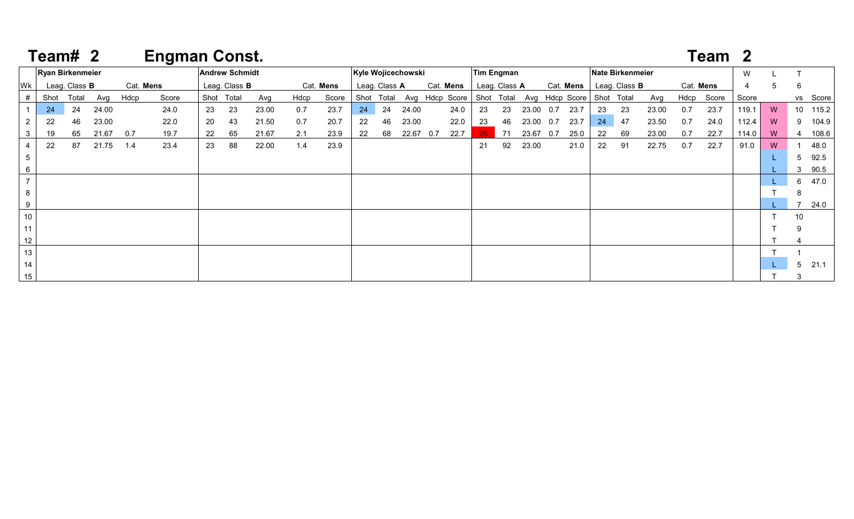|             | Team# 2 |                         |       |           | <b>Engman Const.</b> |    |                       |       |      |           |    |               |                    |     |                           |               |    |           |     |                |            |                         |       |           | Team 2 |       |   |    |          |
|-------------|---------|-------------------------|-------|-----------|----------------------|----|-----------------------|-------|------|-----------|----|---------------|--------------------|-----|---------------------------|---------------|----|-----------|-----|----------------|------------|-------------------------|-------|-----------|--------|-------|---|----|----------|
|             |         | <b>Ryan Birkenmeier</b> |       |           |                      |    | <b>Andrew Schmidt</b> |       |      |           |    |               | Kyle Wojicechowski |     |                           | Tim Engman    |    |           |     |                |            | <b>Nate Birkenmeier</b> |       |           |        | W     |   |    |          |
| Wk          |         | Leag. Class B           |       | Cat. Mens |                      |    | Leag. Class <b>B</b>  |       |      | Cat. Mens |    | Leag. Class A |                    |     | Cat. Mens                 | Leag. Class A |    |           |     | Cat. Mens      |            | Leag. Class <b>B</b>    |       | Cat. Mens |        | 4     | 5 | -6 |          |
| #           | Shot    | Total                   | Avg   | Hdcp      | Score                |    | Shot Total            | Avg   | Hdcp | Score     |    | Shot Total    |                    |     | Avg Hdcp Score Shot Total |               |    |           |     | Avg Hdcp Score | Shot Total |                         | Avg   | Hdcp      | Score  | Score |   |    | vs Score |
|             | 24      | 24                      | 24.00 |           | 24.0                 | 23 | 23                    | 23.00 | 0.7  | 23.7      | 24 | 24            | 24.00              |     | 24.0                      | 23            | 23 | 23.00 0.7 |     | 23.7           | 23         | 23                      | 23.00 | 0.7       | 23.7   | 119.1 | W |    | 10 115.2 |
|             | 22      | 46                      | 23.00 |           | 22.0                 | 20 | 43                    | 21.50 | 0.7  | 20.7      | 22 | 46            | 23.00              |     | 22.0                      | 23            | 46 | 23.00 0.7 |     | 23.7           | 24         | 47                      | 23.50 | 0.7       | 24.0   | 112.4 | W |    | 9 104.9  |
|             | 19      | 65                      | 21.67 | 0.7       | 19.7                 | 22 | 65                    | 21.67 | 2.1  | 23.9      | 22 | 68            | 22.67              | 0.7 | 22.7                      | 25.           | 71 | 23.67     | 0.7 | 25.0           | 22         | 69                      | 23.00 | 0.7       | 22.7   | 114.0 | W | -4 | 108.6    |
|             | 22      | 87                      | 21.75 | 1.4       | 23.4                 | 23 | 88                    | 22.00 | 1.4  | 23.9      |    |               |                    |     |                           | 21            | 92 | 23.00     |     | 21.0           | 22         | 91                      | 22.75 | 0.7       | 22.7   | 91.0  | W |    | 48.0     |
|             |         |                         |       |           |                      |    |                       |       |      |           |    |               |                    |     |                           |               |    |           |     |                |            |                         |       |           |        |       |   | 5  | 92.5     |
| 3<br>5<br>6 |         |                         |       |           |                      |    |                       |       |      |           |    |               |                    |     |                           |               |    |           |     |                |            |                         |       |           |        |       |   | 3  | 90.5     |
|             |         |                         |       |           |                      |    |                       |       |      |           |    |               |                    |     |                           |               |    |           |     |                |            |                         |       |           |        |       |   |    | 6 47.0   |
| 8           |         |                         |       |           |                      |    |                       |       |      |           |    |               |                    |     |                           |               |    |           |     |                |            |                         |       |           |        |       |   | 8  |          |
| 9           |         |                         |       |           |                      |    |                       |       |      |           |    |               |                    |     |                           |               |    |           |     |                |            |                         |       |           |        |       |   |    | 24.0     |
| 10          |         |                         |       |           |                      |    |                       |       |      |           |    |               |                    |     |                           |               |    |           |     |                |            |                         |       |           |        |       |   | 10 |          |
| 11          |         |                         |       |           |                      |    |                       |       |      |           |    |               |                    |     |                           |               |    |           |     |                |            |                         |       |           |        |       |   |    |          |
| 12          |         |                         |       |           |                      |    |                       |       |      |           |    |               |                    |     |                           |               |    |           |     |                |            |                         |       |           |        |       |   |    |          |
| 13          |         |                         |       |           |                      |    |                       |       |      |           |    |               |                    |     |                           |               |    |           |     |                |            |                         |       |           |        |       |   |    |          |
| 14          |         |                         |       |           |                      |    |                       |       |      |           |    |               |                    |     |                           |               |    |           |     |                |            |                         |       |           |        |       |   | 5  | 21.1     |
| 15          |         |                         |       |           |                      |    |                       |       |      |           |    |               |                    |     |                           |               |    |           |     |                |            |                         |       |           |        |       |   | 3  |          |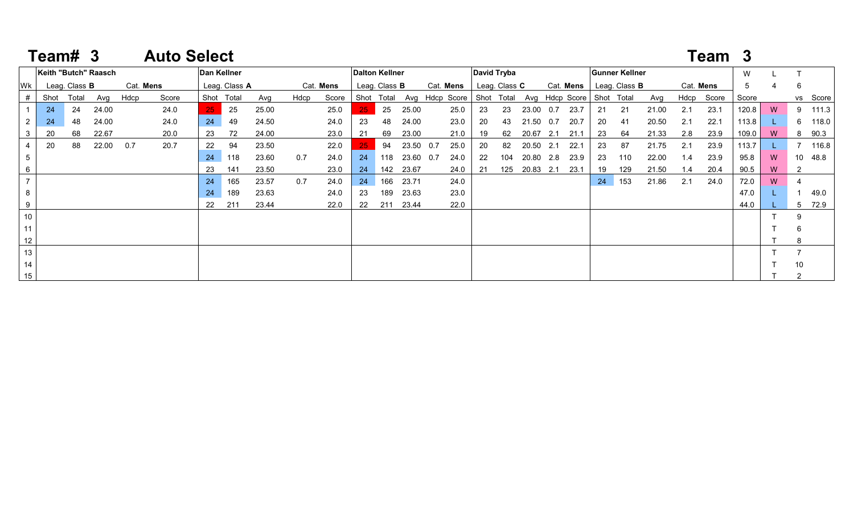|                | Team# 3 |                      |                      |           | <b>Auto Select</b> |    |               |       |      |           |     |                       |           |                           |             |               |           |     |                           |    |                       |       |     | Team 3     |       |    |    |          |
|----------------|---------|----------------------|----------------------|-----------|--------------------|----|---------------|-------|------|-----------|-----|-----------------------|-----------|---------------------------|-------------|---------------|-----------|-----|---------------------------|----|-----------------------|-------|-----|------------|-------|----|----|----------|
|                |         |                      | Keith "Butch" Raasch |           |                    |    | Dan Kellner   |       |      |           |     | <b>Dalton Kellner</b> |           |                           | David Tryba |               |           |     |                           |    | <b>Gunner Kellner</b> |       |     |            | W     |    |    |          |
| Wk             |         | Leag. Class <b>B</b> |                      | Cat. Mens |                    |    | Leag. Class A |       |      | Cat. Mens |     | Leag. Class <b>B</b>  |           | Cat. Mens                 |             | Leag. Class C |           |     | Cat. Mens                 |    | Leag. Class <b>B</b>  |       |     | Cat. Mens  | 5     |    | 6  |          |
|                | Shot    | Total                | Avg                  | Hdcp      | Score              |    | Shot Total    | Avg   | Hdcp | Score     |     | Shot Total            |           | Avg Hdcp Score Shot Total |             |               |           |     | Avg Hdcp Score Shot Total |    |                       | Avg   |     | Hdcp Score | Score |    |    | vs Score |
|                | 24      | 24                   | 24.00                |           | 24.0               |    | 25            | 25.00 |      | 25.0      | 25. | 25                    | 25.00     | 25.0                      | 23          | -23           | 23.00     | 0.7 | 23.7                      | 21 | 21                    | 21.00 | 2.1 | 23.1       | 120.8 | W  |    | 9 111.3  |
|                | 24      | 48                   | 24.00                |           | 24.0               | 24 | 49            | 24.50 |      | 24.0      | 23  | 48                    | 24.00     | 23.0                      | 20          | 43            | 21.50     | 0.7 | 20.7                      | 20 | 41                    | 20.50 | 2.1 | 22.1       | 113.8 |    | 6. | 118.0    |
|                | 20      | 68                   | 22.67                |           | 20.0               | 23 | 72            | 24.00 |      | 23.0      | -21 | 69                    | 23.00     | 21.0                      |             | 62            | 20.67 2.1 |     | 21.1                      | 23 | 64                    | 21.33 | 2.8 | 23.9       | 109.0 | W  | 8  | 90.3     |
|                | 20      | 88                   | 22.00                | 0.7       | 20.7               | 22 | 94            | 23.50 |      | 22.0      |     | 94                    | 23.50 0.7 | 25.0                      | 20          | 82            | 20.50 2.1 |     | 22.1                      | 23 | 87                    | 21.75 | 2.1 | 23.9       | 113.7 |    |    | 116.8    |
| 5              |         |                      |                      |           |                    | 24 | 118           | 23.60 | 0.7  | 24.0      | 24  | 118                   | 23.60 0.7 | 24.0                      | 22          | 104           | 20.80 2.8 |     | 23.9                      | 23 | 110                   | 22.00 | 1.4 | 23.9       | 95.8  | W  |    | 10 48.8  |
| 6              |         |                      |                      |           |                    | 23 | 141           | 23.50 |      | 23.0      | 24  | 142                   | 23.67     | 24.0                      | - 21        | 125           | 20.83 2.1 |     | 23.1                      | 19 | 129                   | 21.50 | 1.4 | 20.4       | 90.5  | W  | 2  |          |
| $\overline{7}$ |         |                      |                      |           |                    | 24 | 165           | 23.57 | 0.7  | 24.0      | 24  | 166                   | 23.71     | 24.0                      |             |               |           |     |                           | 24 | 153                   | 21.86 | 2.1 | 24.0       | 72.0  | W. |    |          |
| 8              |         |                      |                      |           |                    | 24 | 189           | 23.63 |      | 24.0      | 23  | 189                   | 23.63     | 23.0                      |             |               |           |     |                           |    |                       |       |     |            | 47.0  |    |    | 49.0     |
| 9              |         |                      |                      |           |                    | 22 | 211           | 23.44 |      | 22.0      | 22  | 211                   | 23.44     | 22.0                      |             |               |           |     |                           |    |                       |       |     |            | 44.0  |    | .5 | 72.9     |
| 10             |         |                      |                      |           |                    |    |               |       |      |           |     |                       |           |                           |             |               |           |     |                           |    |                       |       |     |            |       |    | -9 |          |
| 11             |         |                      |                      |           |                    |    |               |       |      |           |     |                       |           |                           |             |               |           |     |                           |    |                       |       |     |            |       |    | -6 |          |
| 12             |         |                      |                      |           |                    |    |               |       |      |           |     |                       |           |                           |             |               |           |     |                           |    |                       |       |     |            |       |    | 8  |          |
| 13             |         |                      |                      |           |                    |    |               |       |      |           |     |                       |           |                           |             |               |           |     |                           |    |                       |       |     |            |       |    |    |          |
| 14             |         |                      |                      |           |                    |    |               |       |      |           |     |                       |           |                           |             |               |           |     |                           |    |                       |       |     |            |       |    | 10 |          |
| 15             |         |                      |                      |           |                    |    |               |       |      |           |     |                       |           |                           |             |               |           |     |                           |    |                       |       |     |            |       |    |    |          |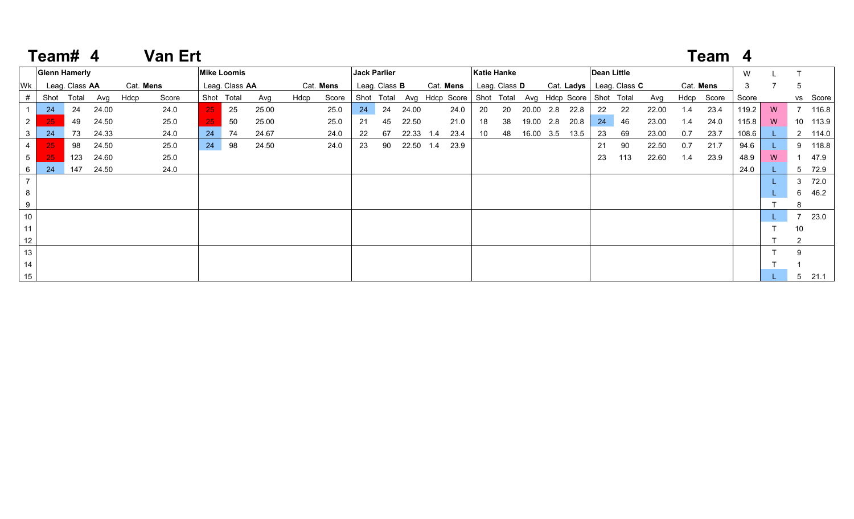|                 | Team# 4              |                |       |           | <b>Van Ert</b> |    |                    |       |      |           |            |                      |           |                                                     |                    |                      |           |      |                    |                            |       |           | Team 4     |       |   |                |          |
|-----------------|----------------------|----------------|-------|-----------|----------------|----|--------------------|-------|------|-----------|------------|----------------------|-----------|-----------------------------------------------------|--------------------|----------------------|-----------|------|--------------------|----------------------------|-------|-----------|------------|-------|---|----------------|----------|
|                 | <b>Glenn Hamerly</b> |                |       |           |                |    | <b>Mike Loomis</b> |       |      |           |            | <b>Jack Parlier</b>  |           |                                                     | <b>Katie Hanke</b> |                      |           |      | <b>Dean Little</b> |                            |       |           |            | W     |   |                |          |
| Wk              |                      | Leag. Class AA |       | Cat. Mens |                |    | Leag. Class AA     |       |      | Cat. Mens |            | Leag. Class <b>B</b> |           | Cat. Mens                                           |                    | Leag. Class <b>D</b> |           |      |                    | Cat. Ladys   Leag. Class C |       | Cat. Mens |            | 3     |   | 5              |          |
| #               | Shot                 | Total          | Avg   | Hdcp      | Score          |    | Shot Total         | Avg   | Hdcp | Score     | Shot Total |                      |           | Avg Hdcp Score Shot Total Avg Hdcp Score Shot Total |                    |                      |           |      |                    |                            | Avg   |           | Hdcp Score | Score |   |                | vs Score |
|                 | 24                   | 24             | 24.00 |           | 24.0           | 25 | 25                 | 25.00 |      | 25.0      | 24         | 24                   | 24.00     | 24.0                                                | 20                 | 20                   | 20.00 2.8 | 22.8 | 22                 | 22                         | 22.00 | 1.4       | 23.4       | 119.2 | W |                | 7 116.8  |
| $2^{\circ}$     | 25                   | 49             | 24.50 |           | 25.0           | 25 | 50                 | 25.00 |      | 25.0      | -21        | 45                   | 22.50     | 21.0                                                | 18                 | 38                   | 19.00 2.8 | 20.8 | 24                 | 46                         | 23.00 | 1.4       | 24.0       | 115.8 | W |                | 10 113.9 |
| 3               | 24                   | 73             | 24.33 |           | 24.0           | 24 | 74                 | 24.67 |      | 24.0      | 22         | 67                   | 22.33 1.4 | 23.4                                                | 10                 | 48                   | 16.00 3.5 | 13.5 | 23                 | 69                         | 23.00 | 0.7       | 23.7       | 108.6 |   |                | 2 114.0  |
| $\overline{4}$  | 25                   | 98             | 24.50 |           | 25.0           | 24 | 98                 | 24.50 |      | 24.0      | 23         | 90                   | 22.50 1.4 | 23.9                                                |                    |                      |           |      | 21                 | 90                         | 22.50 | 0.7       | 21.7       | 94.6  |   |                | 9 118.8  |
| $5\overline{)}$ | 25                   | 123            | 24.60 |           | 25.0           |    |                    |       |      |           |            |                      |           |                                                     |                    |                      |           |      | 23                 | 113                        | 22.60 | 1.4       | 23.9       | 48.9  | W |                | 47.9     |
| 6               | 24                   | 147            | 24.50 |           | 24.0           |    |                    |       |      |           |            |                      |           |                                                     |                    |                      |           |      |                    |                            |       |           |            | 24.0  |   |                | 5 72.9   |
| $\overline{7}$  |                      |                |       |           |                |    |                    |       |      |           |            |                      |           |                                                     |                    |                      |           |      |                    |                            |       |           |            |       |   |                | 3 72.0   |
| 8               |                      |                |       |           |                |    |                    |       |      |           |            |                      |           |                                                     |                    |                      |           |      |                    |                            |       |           |            |       |   |                | 6 46.2   |
| 9               |                      |                |       |           |                |    |                    |       |      |           |            |                      |           |                                                     |                    |                      |           |      |                    |                            |       |           |            |       |   |                |          |
| 10              |                      |                |       |           |                |    |                    |       |      |           |            |                      |           |                                                     |                    |                      |           |      |                    |                            |       |           |            |       |   |                | 7 23.0   |
| 11              |                      |                |       |           |                |    |                    |       |      |           |            |                      |           |                                                     |                    |                      |           |      |                    |                            |       |           |            |       |   | 10             |          |
| 12              |                      |                |       |           |                |    |                    |       |      |           |            |                      |           |                                                     |                    |                      |           |      |                    |                            |       |           |            |       |   | $\overline{2}$ |          |
| 13              |                      |                |       |           |                |    |                    |       |      |           |            |                      |           |                                                     |                    |                      |           |      |                    |                            |       |           |            |       |   |                |          |
| 14              |                      |                |       |           |                |    |                    |       |      |           |            |                      |           |                                                     |                    |                      |           |      |                    |                            |       |           |            |       |   |                |          |
| 15              |                      |                |       |           |                |    |                    |       |      |           |            |                      |           |                                                     |                    |                      |           |      |                    |                            |       |           |            |       |   | 5              | 21.1     |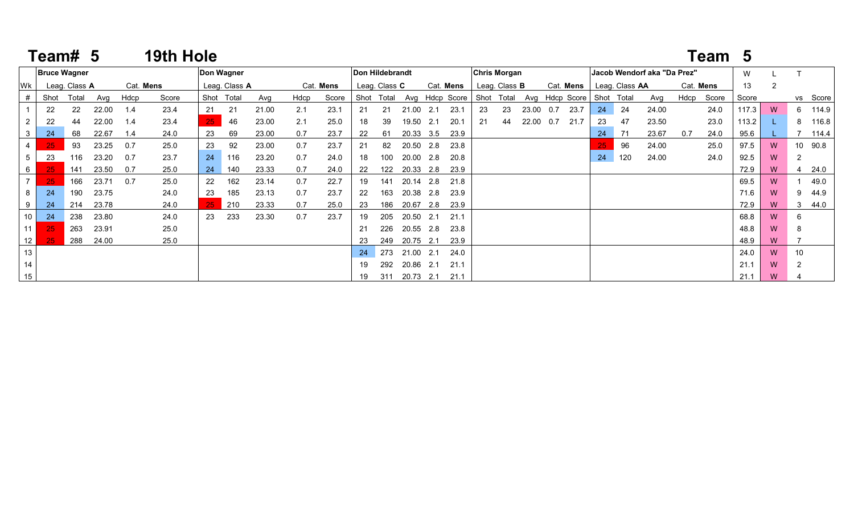|                 | Team# 5 |                     |       |      | 19th Hole |      |               |       |      |           |    |                 |           |     |                |              |                      |           |                |    |                |                             |      | Team 5    |       |   |                 |       |
|-----------------|---------|---------------------|-------|------|-----------|------|---------------|-------|------|-----------|----|-----------------|-----------|-----|----------------|--------------|----------------------|-----------|----------------|----|----------------|-----------------------------|------|-----------|-------|---|-----------------|-------|
|                 |         | <b>Bruce Wagner</b> |       |      |           |      | Don Wagner    |       |      |           |    | Don Hildebrandt |           |     |                | Chris Morgan |                      |           |                |    |                | Jacob Wendorf aka "Da Prez" |      |           | W     |   |                 |       |
| Wk              |         | Leag. Class A       |       |      | Cat. Mens |      | Leag. Class A |       |      | Cat. Mens |    | Leag. Class C   |           |     | Cat. Mens      |              | Leag. Class <b>B</b> |           | Cat. Mens      |    | Leag. Class AA |                             |      | Cat. Mens | 13    | 2 |                 |       |
|                 | Shot    | Total               | Avg   | Hdcp | Score     | Shot | Total         | Avg   | Hdcp | Score     |    | Shot Total      |           |     | Avg Hdcp Score | Shot Total   |                      |           | Avg Hdcp Score |    | Shot Total     | Avg                         | Hdcp | Score     | Score |   | VS              | Score |
|                 | 22      | 22                  | 22.00 | 1.4  | 23.4      | 21   | 21            | 21.00 | 2.1  | 23.1      | 21 | 21              | 21.00     | 2.1 | 23.1           | 23           | 23                   | 23.00     | 23.7<br>0.7    | 24 | 24             | 24.00                       |      | 24.0      | 117.3 | W | 6               | 114.9 |
| $\overline{2}$  | 22      | 44                  | 22.00 | 1.4  | 23.4      | 25   | 46            | 23.00 | 2.1  | 25.0      | 18 | 39              | 19.50     | 2.1 | 20.1           | 21           | 44                   | 22.00 0.7 | 21.7           | 23 | 47             | 23.50                       |      | 23.0      | 113.2 |   | 8               | 116.8 |
| 3               | 24      | 68                  | 22.67 | 1.4  | 24.0      | 23   | 69            | 23.00 | 0.7  | 23.7      | 22 | 61              | 20.33 3.5 |     | 23.9           |              |                      |           |                | 24 | - 71           | 23.67                       | 0.7  | 24.0      | 95.6  |   |                 | 114.4 |
|                 | 25      | 93                  | 23.25 | 0.7  | 25.0      | 23   | 92            | 23.00 | 0.7  | 23.7      | 21 | 82              | 20.50     | 2.8 | 23.8           |              |                      |           |                | 25 | 96             | 24.00                       |      | 25.0      | 97.5  | W | 10 <sup>1</sup> | 90.8  |
| $5^{\circ}$     | 23      | 116                 | 23.20 | 0.7  | 23.7      | 24   | 116           | 23.20 | 0.7  | 24.0      | 18 | 100             | 20.00     | 2.8 | 20.8           |              |                      |           |                | 24 | 120            | 24.00                       |      | 24.0      | 92.5  | W | 2               |       |
| 6               | 25      | 141                 | 23.50 | 0.7  | 25.0      | 24   | 140           | 23.33 | 0.7  | 24.0      | 22 | 122             | 20.33     | 2.8 | 23.9           |              |                      |           |                |    |                |                             |      |           | 72.9  | W | 4               | 24.0  |
| 7 <sup>1</sup>  | 25      | 166                 | 23.71 | 0.7  | 25.0      | 22   | 162           | 23.14 | 0.7  | 22.7      | 19 | 141             | 20.14     | 2.8 | 21.8           |              |                      |           |                |    |                |                             |      |           | 69.5  | W |                 | 49.0  |
| 8               | 24      | 190                 | 23.75 |      | 24.0      | 23   | 185           | 23.13 | 0.7  | 23.7      | 22 | 163             | 20.38     | 2.8 | 23.9           |              |                      |           |                |    |                |                             |      |           | 71.6  | W | 9               | 44.9  |
| 9               | 24      | 214                 | 23.78 |      | 24.0      | 25   | 210           | 23.33 | 0.7  | 25.0      | 23 | 186             | 20.67     | 2.8 | 23.9           |              |                      |           |                |    |                |                             |      |           | 72.9  | W |                 | 44.0  |
| 10 <sup>1</sup> | 24      | 238                 | 23.80 |      | 24.0      | 23   | 233           | 23.30 | 0.7  | 23.7      | 19 | 205             | 20.50     | 2.1 | 21.1           |              |                      |           |                |    |                |                             |      |           | 68.8  | W |                 |       |
| 11 <sup>1</sup> | 25      | 263                 | 23.91 |      | 25.0      |      |               |       |      |           | 21 | 226             | 20.55     | 2.8 | 23.8           |              |                      |           |                |    |                |                             |      |           | 48.8  | W |                 |       |
| 12              | 25      | 288                 | 24.00 |      | 25.0      |      |               |       |      |           | 23 | 249             | 20.75     | 2.1 | 23.9           |              |                      |           |                |    |                |                             |      |           | 48.9  | W |                 |       |
| 13              |         |                     |       |      |           |      |               |       |      |           | 24 | 273             | 21.00     | 2.1 | 24.0           |              |                      |           |                |    |                |                             |      |           | 24.0  | W | 10              |       |
| 14              |         |                     |       |      |           |      |               |       |      |           | 19 | 292             | 20.86     | 2.1 | 21.1           |              |                      |           |                |    |                |                             |      |           | 21.1  | W | 2               |       |
| 15              |         |                     |       |      |           |      |               |       |      |           | 19 | 311             | 20.73     | 2.1 | 21.1           |              |                      |           |                |    |                |                             |      |           | 21.1  | W |                 |       |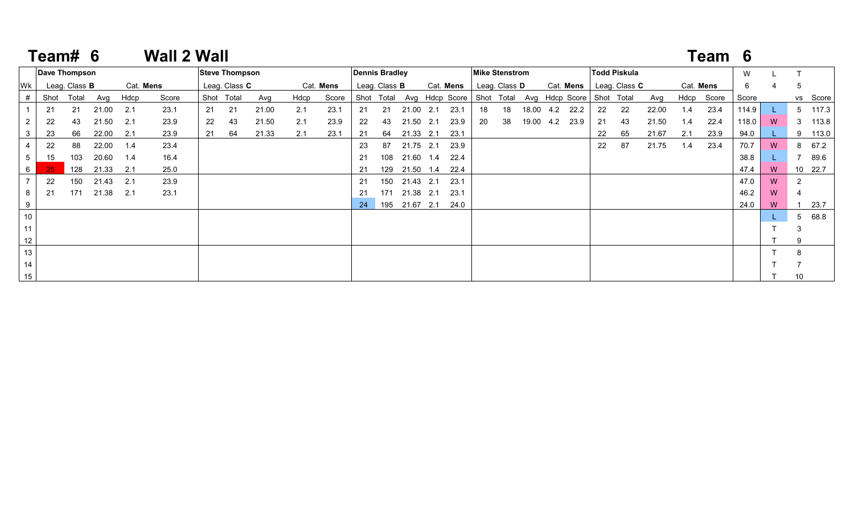|    | Team# 6 |                      |       |           | <b>Wall 2 Wall</b> |    |                       |       |      |           |     |                       |           |     |                                                     |                       |                      |           |           |    |                      |       |           | Team 6     |       |   |             |          |
|----|---------|----------------------|-------|-----------|--------------------|----|-----------------------|-------|------|-----------|-----|-----------------------|-----------|-----|-----------------------------------------------------|-----------------------|----------------------|-----------|-----------|----|----------------------|-------|-----------|------------|-------|---|-------------|----------|
|    |         | Dave Thompson        |       |           |                    |    | <b>Steve Thompson</b> |       |      |           |     | <b>Dennis Bradley</b> |           |     |                                                     | <b>Mike Stenstrom</b> |                      |           |           |    | Todd Piskula         |       |           |            | W     |   |             |          |
| Wk |         | Leag. Class <b>B</b> |       | Cat. Mens |                    |    | Leag. Class C         |       |      | Cat. Mens |     | Leag. Class <b>B</b>  |           |     | Cat. Mens                                           |                       | Leag. Class <b>D</b> |           | Cat. Mens |    | Leag. Class <b>C</b> |       | Cat. Mens |            | 6     |   | 5           |          |
|    | Shot    | Total                | Avg   | Hdcp      | Score              |    | Shot Total            | Avg   | Hdcp | Score     |     |                       |           |     | Shot Total Avg Hdcp Score Shot Total Avg Hdcp Score |                       |                      |           |           |    | Shot Total           | Avg   |           | Hdcp Score | Score |   |             | vs Score |
|    | 21      | 21                   | 21.00 | 2.1       | 23.1               | 21 | 21                    | 21.00 | 2.1  | 23.1      | 21  | 21                    | 21.00 2.1 |     | 23.1                                                | 18                    | 18                   | 18.00 4.2 | 22.2      | 22 | 22                   | 22.00 | 1.4       | 23.4       | 114.9 |   |             | 5 117.3  |
|    | 22      | 43                   | 21.50 | 2.1       | 23.9               | 22 | 43                    | 21.50 | 2.1  | 23.9      | 22  | 43                    | 21.50     | 2.1 | 23.9                                                | 20                    | 38                   | 19.00 4.2 | 23.9      | 21 | 43                   | 21.50 | 1.4       | 22.4       | 118.0 | W |             | 3 113.8  |
| 3  | 23      | 66                   | 22.00 | 2.1       | 23.9               | 21 | 64                    | 21.33 | 2.1  | 23.1      | 21  | 64                    | 21.33 2.1 |     | 23.1                                                |                       |                      |           |           | 22 | 65                   | 21.67 | 2.1       | 23.9       | 94.0  |   |             | 9 113.0  |
|    | 22      | 88                   | 22.00 | 1.4       | 23.4               |    |                       |       |      |           | -23 | 87                    | 21.75 2.1 |     | 23.9                                                |                       |                      |           |           | 22 | 87                   | 21.75 | 1.4       | 23.4       | 70.7  | W |             | 8 67.2   |
| 5  | 15      | 103                  | 20.60 | 1.4       | 16.4               |    |                       |       |      |           | 21  | 108                   | 21.60 1.4 |     | 22.4                                                |                       |                      |           |           |    |                      |       |           |            | 38.8  |   |             | 89.6     |
| 6  | 25      | 128                  | 21.33 | 2.1       | 25.0               |    |                       |       |      |           |     | 129                   | 21.50     | 1.4 | 22.4                                                |                       |                      |           |           |    |                      |       |           |            | 47.4  | W |             | 10 22.7  |
|    | 22      | 150                  | 21.43 | 2.1       | 23.9               |    |                       |       |      |           | 21  | 150                   | 21.43 2.1 |     | 23.1                                                |                       |                      |           |           |    |                      |       |           |            | 47.0  | W |             |          |
| 8  | 21      | 171                  | 21.38 | 2.1       | 23.1               |    |                       |       |      |           | -21 | 171                   | 21.38     | 2.1 | 23.1                                                |                       |                      |           |           |    |                      |       |           |            | 46.2  | W |             |          |
| 9  |         |                      |       |           |                    |    |                       |       |      |           | 24  | 195                   | 21.67     | 2.1 | 24.0                                                |                       |                      |           |           |    |                      |       |           |            | 24.0  | W |             | 23.7     |
| 10 |         |                      |       |           |                    |    |                       |       |      |           |     |                       |           |     |                                                     |                       |                      |           |           |    |                      |       |           |            |       |   | $5^{\circ}$ | 68.8     |
| 11 |         |                      |       |           |                    |    |                       |       |      |           |     |                       |           |     |                                                     |                       |                      |           |           |    |                      |       |           |            |       |   | 3           |          |
| 12 |         |                      |       |           |                    |    |                       |       |      |           |     |                       |           |     |                                                     |                       |                      |           |           |    |                      |       |           |            |       |   | 9           |          |
| 13 |         |                      |       |           |                    |    |                       |       |      |           |     |                       |           |     |                                                     |                       |                      |           |           |    |                      |       |           |            |       |   | 8           |          |
| 14 |         |                      |       |           |                    |    |                       |       |      |           |     |                       |           |     |                                                     |                       |                      |           |           |    |                      |       |           |            |       |   |             |          |
| 15 |         |                      |       |           |                    |    |                       |       |      |           |     |                       |           |     |                                                     |                       |                      |           |           |    |                      |       |           |            |       |   | 10          |          |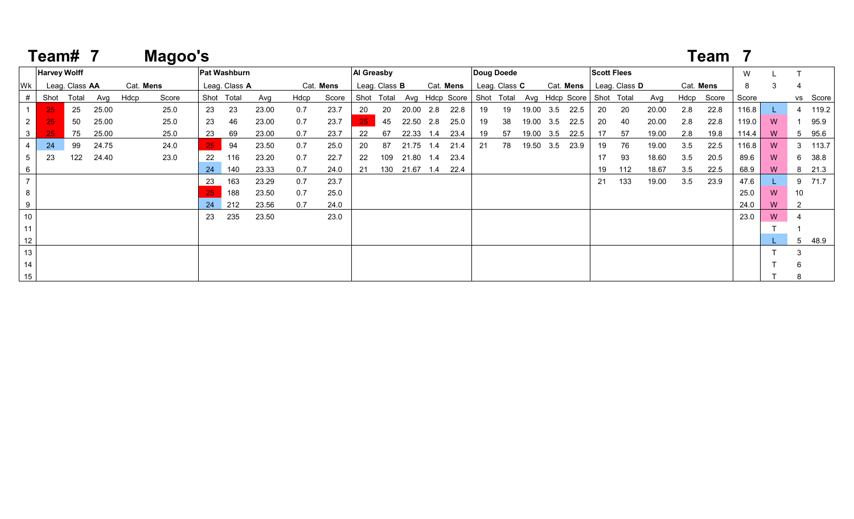|                | Team#               |                |       |           | Magoo's |    |                     |       |      |           |            |                      |           |     |                |                   |               |       |           |                           |                    |               |       |           | Team  |       |   |                |          |
|----------------|---------------------|----------------|-------|-----------|---------|----|---------------------|-------|------|-----------|------------|----------------------|-----------|-----|----------------|-------------------|---------------|-------|-----------|---------------------------|--------------------|---------------|-------|-----------|-------|-------|---|----------------|----------|
|                | <b>Harvey Wolff</b> |                |       |           |         |    | <b>Pat Washburn</b> |       |      |           | Al Greasby |                      |           |     |                | <b>Doug Doede</b> |               |       |           |                           | <b>Scott Flees</b> |               |       |           |       | W     |   |                |          |
| Wk             |                     | Leag. Class AA |       | Cat. Mens |         |    | Leag. Class A       |       |      | Cat. Mens |            | Leag. Class <b>B</b> |           |     | Cat. Mens      |                   | Leag. Class C |       |           | Cat. Mens                 |                    | Leag. Class D |       | Cat. Mens |       | 8     | 3 |                |          |
|                | Shot                | Total          | Avg   | Hdcp      | Score   |    | Shot Total          | Avg   | Hdcp | Score     | Shot       | Total                |           |     | Avg Hdcp Score | Shot Total        |               |       |           | Avg Hdcp Score Shot Total |                    |               | Avg   | Hdcp      | Score | Score |   |                | vs Score |
|                | 25                  | 25             | 25.00 |           | 25.0    | 23 | 23                  | 23.00 | 0.7  | 23.7      | 20         | 20                   | 20.00     | 2.8 | 22.8           | 19                | 19            |       | 19.00 3.5 | 22.5                      | 20                 | 20            | 20.00 | 2.8       | 22.8  | 116.8 |   |                | 119.2    |
| $2^{\circ}$    | 25                  | 50             | 25.00 |           | 25.0    | 23 | 46                  | 23.00 | 0.7  | 23.7      | 25         | 45                   | 22.50     | 2.8 | 25.0           | 19                | 38            | 19.00 | 3.5       | 22.5                      | 20                 | 40            | 20.00 | 2.8       | 22.8  | 119.0 | W |                | 95.9     |
| $\mathbf{3}$   | <b>25</b>           | 75             | 25.00 |           | 25.0    | 23 | 69                  | 23.00 | 0.7  | 23.7      | 22         | 67                   | 22.33     | 1.4 | 23.4           | 19                | 57            |       | 19.00 3.5 | 22.5                      | 17                 | 57            | 19.00 | 2.8       | 19.8  | 114.4 | W | b              | 95.6     |
| $\overline{4}$ | 24                  | 99             | 24.75 |           | 24.0    | 25 | 94                  | 23.50 | 0.7  | 25.0      | 20         | 87                   | 21.75 1.4 |     | 21.4           | 21                | 78            |       | 19.50 3.5 | 23.9                      | 19                 | 76            | 19.00 | 3.5       | 22.5  | 116.8 | W | 3              | 113.7    |
| $5^{\circ}$    | 23                  | 122            | 24.40 |           | 23.0    | 22 | 116                 | 23.20 | 0.7  | 22.7      | 22         | 109                  | 21.80     | 1.4 | 23.4           |                   |               |       |           |                           | 17                 | 93            | 18.60 | 3.5       | 20.5  | 89.6  | W | 6.             | 38.8     |
| 6              |                     |                |       |           |         | 24 | 140                 | 23.33 | 0.7  | 24.0      | 21         | 130                  | 21.67     | 1.4 | 22.4           |                   |               |       |           |                           | 19                 | 112           | 18.67 | 3.5       | 22.5  | 68.9  | W | 8              | 21.3     |
| $\overline{7}$ |                     |                |       |           |         | 23 | 163                 | 23.29 | 0.7  | 23.7      |            |                      |           |     |                |                   |               |       |           |                           | 21                 | 133           | 19.00 | 3.5       | 23.9  | 47.6  |   | 9              | 71.7     |
| 8              |                     |                |       |           |         | 25 | 188                 | 23.50 | 0.7  | 25.0      |            |                      |           |     |                |                   |               |       |           |                           |                    |               |       |           |       | 25.0  | W | 10             |          |
| 9              |                     |                |       |           |         | 24 | 212                 | 23.56 | 0.7  | 24.0      |            |                      |           |     |                |                   |               |       |           |                           |                    |               |       |           |       | 24.0  | W | $\overline{2}$ |          |
| $10\,$         |                     |                |       |           |         | 23 | 235                 | 23.50 |      | 23.0      |            |                      |           |     |                |                   |               |       |           |                           |                    |               |       |           |       | 23.0  | W |                |          |
| 11             |                     |                |       |           |         |    |                     |       |      |           |            |                      |           |     |                |                   |               |       |           |                           |                    |               |       |           |       |       |   |                |          |
| 12             |                     |                |       |           |         |    |                     |       |      |           |            |                      |           |     |                |                   |               |       |           |                           |                    |               |       |           |       |       |   | 5              | 48.9     |
| 13             |                     |                |       |           |         |    |                     |       |      |           |            |                      |           |     |                |                   |               |       |           |                           |                    |               |       |           |       |       |   | 3              |          |
| 14             |                     |                |       |           |         |    |                     |       |      |           |            |                      |           |     |                |                   |               |       |           |                           |                    |               |       |           |       |       |   |                |          |
| 15             |                     |                |       |           |         |    |                     |       |      |           |            |                      |           |     |                |                   |               |       |           |                           |                    |               |       |           |       |       |   |                |          |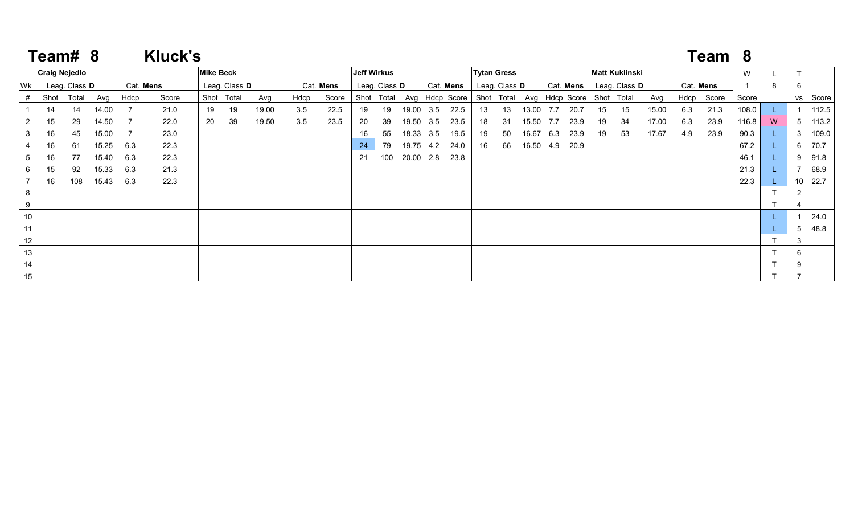|                 | Team# 8              |               |       |      | <b>Kluck's</b> |                  |               |       |      |           |    |                    |           |                                                     |                    |                      |           |           |           |    |                       |       |     | Team 8     |       |   |   |          |
|-----------------|----------------------|---------------|-------|------|----------------|------------------|---------------|-------|------|-----------|----|--------------------|-----------|-----------------------------------------------------|--------------------|----------------------|-----------|-----------|-----------|----|-----------------------|-------|-----|------------|-------|---|---|----------|
|                 | <b>Craig Nejedlo</b> |               |       |      |                | <b>Mike Beck</b> |               |       |      |           |    | <b>Jeff Wirkus</b> |           |                                                     | <b>Tytan Gress</b> |                      |           |           |           |    | <b>Matt Kuklinski</b> |       |     |            | W     |   |   |          |
| Wk              |                      | Leag. Class D |       |      | Cat. Mens      |                  | Leag. Class D |       |      | Cat. Mens |    | Leag. Class D      |           | Cat. Mens                                           |                    | Leag. Class <b>D</b> |           |           | Cat. Mens |    | Leag. Class D         |       |     | Cat. Mens  |       | 8 | 6 |          |
| #               | Shot                 | Total         | Avg   | Hdcp | Score          |                  | Shot Total    | Avg   | Hdcp | Score     |    | Shot Total         |           | Avg Hdcp Score Shot Total Avg Hdcp Score Shot Total |                    |                      |           |           |           |    |                       | Avg   |     | Hdcp Score | Score |   |   | vs Score |
|                 | 14                   | 14            | 14.00 |      | 21.0           | 19               | 19            | 19.00 | 3.5  | 22.5      | 19 | 19                 | 19.00 3.5 | 22.5                                                | 13                 | 13                   | 13.00 7.7 |           | 20.7      | 15 | 15                    | 15.00 | 6.3 | 21.3       | 108.0 |   |   | 112.5    |
|                 | 15                   | 29            | 14.50 |      | 22.0           | 20               | 39            | 19.50 | 3.5  | 23.5      | 20 | 39                 | 19.50 3.5 | 23.5                                                | 18                 | -31                  | 15.50 7.7 |           | 23.9      | 19 | -34                   | 17.00 | 6.3 | 23.9       | 116.8 | W |   | 5 113.2  |
|                 | 16                   | 45            | 15.00 |      | 23.0           |                  |               |       |      |           | 16 | 55                 | 18.33 3.5 | 19.5                                                | 19                 | 50                   |           | 16.67 6.3 | 23.9      | 19 | 53                    | 17.67 | 4.9 | 23.9       | 90.3  |   |   | 3 109.0  |
|                 | 16                   | 61            | 15.25 | 6.3  | 22.3           |                  |               |       |      |           | 24 | 79                 | 19.75 4.2 | 24.0                                                | 16                 | 66                   |           | 16.50 4.9 | 20.9      |    |                       |       |     |            | 67.2  |   |   | 6 70.7   |
|                 | 16                   | 77            | 15.40 | 6.3  | 22.3           |                  |               |       |      |           | 21 | 100                | 20.00 2.8 | 23.8                                                |                    |                      |           |           |           |    |                       |       |     |            | 46.1  |   |   | 91.8     |
|                 | 15                   | 92            | 15.33 | 6.3  | 21.3           |                  |               |       |      |           |    |                    |           |                                                     |                    |                      |           |           |           |    |                       |       |     |            | 21.3  |   |   | 68.9     |
|                 | 16                   | 108           | 15.43 | 6.3  | 22.3           |                  |               |       |      |           |    |                    |           |                                                     |                    |                      |           |           |           |    |                       |       |     |            | 22.3  |   |   | 10 22.7  |
| 8               |                      |               |       |      |                |                  |               |       |      |           |    |                    |           |                                                     |                    |                      |           |           |           |    |                       |       |     |            |       |   |   |          |
| 9               |                      |               |       |      |                |                  |               |       |      |           |    |                    |           |                                                     |                    |                      |           |           |           |    |                       |       |     |            |       |   |   |          |
| 10              |                      |               |       |      |                |                  |               |       |      |           |    |                    |           |                                                     |                    |                      |           |           |           |    |                       |       |     |            |       |   |   | 24.0     |
| 11              |                      |               |       |      |                |                  |               |       |      |           |    |                    |           |                                                     |                    |                      |           |           |           |    |                       |       |     |            |       |   |   | 5 48.8   |
| 12              |                      |               |       |      |                |                  |               |       |      |           |    |                    |           |                                                     |                    |                      |           |           |           |    |                       |       |     |            |       |   | 3 |          |
| 13              |                      |               |       |      |                |                  |               |       |      |           |    |                    |           |                                                     |                    |                      |           |           |           |    |                       |       |     |            |       |   |   |          |
| 14              |                      |               |       |      |                |                  |               |       |      |           |    |                    |           |                                                     |                    |                      |           |           |           |    |                       |       |     |            |       |   |   |          |
| 15 <sub>1</sub> |                      |               |       |      |                |                  |               |       |      |           |    |                    |           |                                                     |                    |                      |           |           |           |    |                       |       |     |            |       |   |   |          |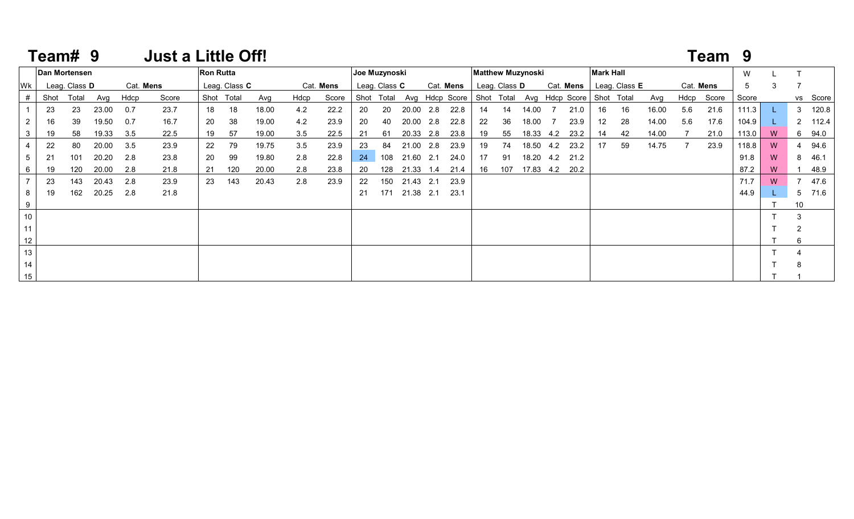|           | Team# 9 |               |       |      | <b>Just a Little Off!</b> |                  |               |       |      |           |    |               |       |     |                                                         |    |               |                          |     |           |                  |               |       |           | Team 9     |       |   |    |          |
|-----------|---------|---------------|-------|------|---------------------------|------------------|---------------|-------|------|-----------|----|---------------|-------|-----|---------------------------------------------------------|----|---------------|--------------------------|-----|-----------|------------------|---------------|-------|-----------|------------|-------|---|----|----------|
|           |         | Dan Mortensen |       |      |                           | <b>Ron Rutta</b> |               |       |      |           |    | Joe Muzynoski |       |     |                                                         |    |               | <b>Matthew Muzynoski</b> |     |           | <b>Mark Hall</b> |               |       |           |            | W     |   |    |          |
| <b>WK</b> |         | Leag. Class D |       |      | Cat. Mens                 |                  | Leag. Class C |       |      | Cat. Mens |    | Leag. Class C |       |     | Cat. Mens                                               |    | Leag. Class D |                          |     | Cat. Mens |                  | Leag. Class E |       | Cat. Mens |            | 5     | 3 |    |          |
|           | Shot    | Total         | Avg   | Hdcp | Score                     |                  | Shot Total    | Avg   | Hdcp | Score     |    | Shot Total    |       |     | Avg Hdcp Score   Shot Total Avg Hdcp Score   Shot Total |    |               |                          |     |           |                  |               | Avg   |           | Hdcp Score | Score |   |    | vs Score |
|           | 23      | 23            | 23.00 | 0.7  | 23.7                      | 18               | 18            | 18.00 | 4.2  | 22.2      | 20 | 20            | 20.00 | 2.8 | 22.8                                                    | 14 | 14            | 14.00                    |     | 21.0      | 16               | 16            | 16.00 | 5.6       | 21.6       | 111.3 |   |    | 3 120.8  |
|           | 16      | 39            | 19.50 | 0.7  | 16.7                      | 20               | 38            | 19.00 | 4.2  | 23.9      | 20 | 40            | 20.00 | 2.8 | 22.8                                                    | 22 | 36            | 18.00                    |     | 23.9      | 12 <sup>2</sup>  | 28            | 14.00 | 5.6       | 17.6       | 104.9 |   |    | 2 112.4  |
| 3         | 19      | 58            | 19.33 | 3.5  | 22.5                      | 19               | 57            | 19.00 | 3.5  | 22.5      | 21 | 61            | 20.33 | 2.8 | 23.8                                                    | 19 | 55            | 18.33 4.2                |     | 23.2      | 14               | 42            | 14.00 |           | 21.0       | 113.0 | W |    | 6 94.0   |
|           | 22      | 80            | 20.00 | 3.5  | 23.9                      | 22               | 79            | 19.75 | 3.5  | 23.9      | 23 | 84            | 21.00 | 2.8 | 23.9                                                    | 19 | 74            | 18.50                    | 4.2 | 23.2      | 17               | 59            | 14.75 |           | 23.9       | 118.8 | W |    | 94.6     |
| 5         | 21      | 101           | 20.20 | 2.8  | 23.8                      | 20               | 99            | 19.80 | 2.8  | 22.8      | 24 | 108           | 21.60 | 2.1 | 24.0                                                    | 17 | 91            | 18.20                    | 4.2 | 21.2      |                  |               |       |           |            | 91.8  | W |    | 8 46.1   |
| 6         | 19      | 120           | 20.00 | 2.8  | 21.8                      | 21               | 120           | 20.00 | 2.8  | 23.8      | 20 | 128           | 21.33 | 1.4 | 21.4                                                    | 16 | 107           | 17.83 4.2                |     | 20.2      |                  |               |       |           |            | 87.2  | W |    | 48.9     |
|           | 23      | 143           | 20.43 | 2.8  | 23.9                      | 23               | 143           | 20.43 | 2.8  | 23.9      | 22 | 150           | 21.43 | 2.1 | 23.9                                                    |    |               |                          |     |           |                  |               |       |           |            | 71.7  | W |    | 47.6     |
| 8         | 19      | 162           | 20.25 | 2.8  | 21.8                      |                  |               |       |      |           | 21 | 171           | 21.38 | 2.1 | 23.1                                                    |    |               |                          |     |           |                  |               |       |           |            | 44.9  |   |    | 5 71.6   |
| 9         |         |               |       |      |                           |                  |               |       |      |           |    |               |       |     |                                                         |    |               |                          |     |           |                  |               |       |           |            |       |   | 10 |          |
| 10        |         |               |       |      |                           |                  |               |       |      |           |    |               |       |     |                                                         |    |               |                          |     |           |                  |               |       |           |            |       |   | 3  |          |
| 11        |         |               |       |      |                           |                  |               |       |      |           |    |               |       |     |                                                         |    |               |                          |     |           |                  |               |       |           |            |       |   |    |          |
| 12        |         |               |       |      |                           |                  |               |       |      |           |    |               |       |     |                                                         |    |               |                          |     |           |                  |               |       |           |            |       |   |    |          |
| 13        |         |               |       |      |                           |                  |               |       |      |           |    |               |       |     |                                                         |    |               |                          |     |           |                  |               |       |           |            |       |   |    |          |
| 14        |         |               |       |      |                           |                  |               |       |      |           |    |               |       |     |                                                         |    |               |                          |     |           |                  |               |       |           |            |       |   |    |          |
| 15        |         |               |       |      |                           |                  |               |       |      |           |    |               |       |     |                                                         |    |               |                          |     |           |                  |               |       |           |            |       |   |    |          |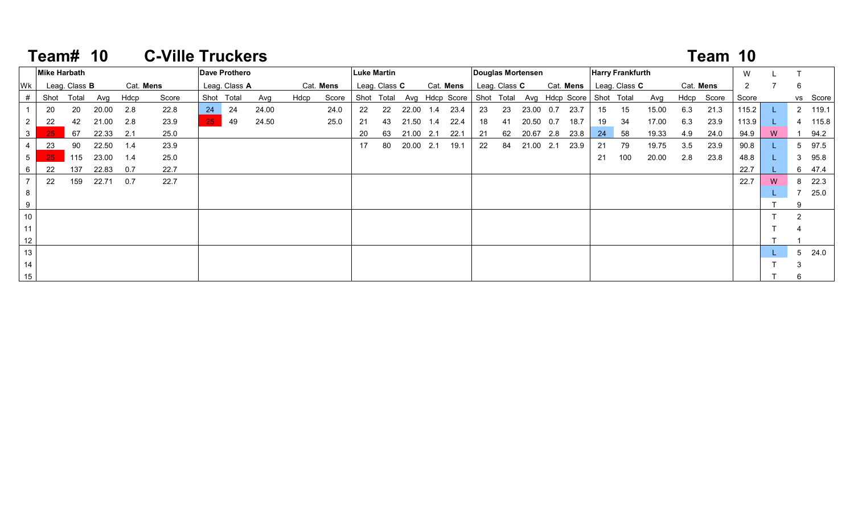|                | Team# |                      | <b>10</b> |      | <b>C-Ville Truckers</b> |                 |                      |       |      |           |    |               |       |     |                           |    |               |                   |     |                |    |                         |       |           | Team 10 |                |   |               |          |
|----------------|-------|----------------------|-----------|------|-------------------------|-----------------|----------------------|-------|------|-----------|----|---------------|-------|-----|---------------------------|----|---------------|-------------------|-----|----------------|----|-------------------------|-------|-----------|---------|----------------|---|---------------|----------|
|                |       | <b>Mike Harbath</b>  |           |      |                         |                 | <b>Dave Prothero</b> |       |      |           |    | Luke Martin   |       |     |                           |    |               | Douglas Mortensen |     |                |    | <b>Harry Frankfurth</b> |       |           |         | W              |   |               |          |
| Wk             |       | Leag. Class <b>B</b> |           |      | Cat. Mens               |                 | Leag. Class A        |       |      | Cat. Mens |    | Leag. Class C |       |     | Cat. Mens                 |    | Leag. Class C |                   |     | Cat. Mens      |    | Leag. Class C           |       | Cat. Mens |         | $\overline{2}$ |   | 6             |          |
| #              | Shot  | Total                | Avg       | Hdcp | Score                   |                 | Shot Total           | Avg   | Hdcp | Score     |    | Shot Total    |       |     | Avg Hdcp Score Shot Total |    |               |                   |     | Avg Hdcp Score |    | Shot Total              | Avg   | Hdcp      | Score   | Score          |   |               | vs Score |
|                | 20    | 20                   | 20.00     | 2.8  | 22.8                    | 24              | 24                   | 24.00 |      | 24.0      | 22 | 22            | 22.00 | 1.4 | 23.4                      | 23 | 23            | 23.00             | 0.7 | 23.7           | 15 | 15                      | 15.00 | 6.3       | 21.3    | 115.2          |   |               | 2 119.1  |
| $\overline{2}$ | 22    | 42                   | 21.00     | 2.8  | 23.9                    | 25 <sub>1</sub> | 49                   | 24.50 |      | 25.0      | 21 | 43            | 21.50 | 1.4 | 22.4                      | 18 | 41            | 20.50             | 0.7 | 18.7           | 19 | 34                      | 17.00 | 6.3       | 23.9    | 113.9          |   |               | 4 115.8  |
| $\mathbf{3}$   | 25    | 67                   | 22.33     | 2.1  | 25.0                    |                 |                      |       |      |           | 20 | 63            | 21.00 | 2.1 | 22.1                      | 21 | 62            | 20.67             | 2.8 | 23.8           | 24 | 58                      | 19.33 | 4.9       | 24.0    | 94.9           | W |               | 94.2     |
| $\overline{4}$ | 23    | 90                   | 22.50     | 1.4  | 23.9                    |                 |                      |       |      |           | 17 | 80            | 20.00 | 2.1 | 19.1                      | 22 | 84            | 21.00             | 2.1 | 23.9           | 21 | 79                      | 19.75 | 3.5       | 23.9    | 90.8           |   |               | 5 97.5   |
| 5 <sub>5</sub> | 25    | 115                  | 23.00     | 1.4  | 25.0                    |                 |                      |       |      |           |    |               |       |     |                           |    |               |                   |     |                | 21 | 100                     | 20.00 | 2.8       | 23.8    | 48.8           |   |               | 3 95.8   |
| 6              | 22    | 137                  | 22.83     | 0.7  | 22.7                    |                 |                      |       |      |           |    |               |       |     |                           |    |               |                   |     |                |    |                         |       |           |         | 22.7           |   |               | 6 47.4   |
|                | 22    | 159                  | 22.71     | 0.7  | 22.7                    |                 |                      |       |      |           |    |               |       |     |                           |    |               |                   |     |                |    |                         |       |           |         | 22.7           | W |               | 8 22.3   |
| 8              |       |                      |           |      |                         |                 |                      |       |      |           |    |               |       |     |                           |    |               |                   |     |                |    |                         |       |           |         |                |   |               | 7 25.0   |
| 9              |       |                      |           |      |                         |                 |                      |       |      |           |    |               |       |     |                           |    |               |                   |     |                |    |                         |       |           |         |                |   |               |          |
| 10             |       |                      |           |      |                         |                 |                      |       |      |           |    |               |       |     |                           |    |               |                   |     |                |    |                         |       |           |         |                |   | $\mathcal{P}$ |          |
| 11             |       |                      |           |      |                         |                 |                      |       |      |           |    |               |       |     |                           |    |               |                   |     |                |    |                         |       |           |         |                |   |               |          |
| 12             |       |                      |           |      |                         |                 |                      |       |      |           |    |               |       |     |                           |    |               |                   |     |                |    |                         |       |           |         |                |   |               |          |
| 13             |       |                      |           |      |                         |                 |                      |       |      |           |    |               |       |     |                           |    |               |                   |     |                |    |                         |       |           |         |                |   |               | 5 24.0   |
| 14             |       |                      |           |      |                         |                 |                      |       |      |           |    |               |       |     |                           |    |               |                   |     |                |    |                         |       |           |         |                |   |               |          |

T 6

#### **Team#**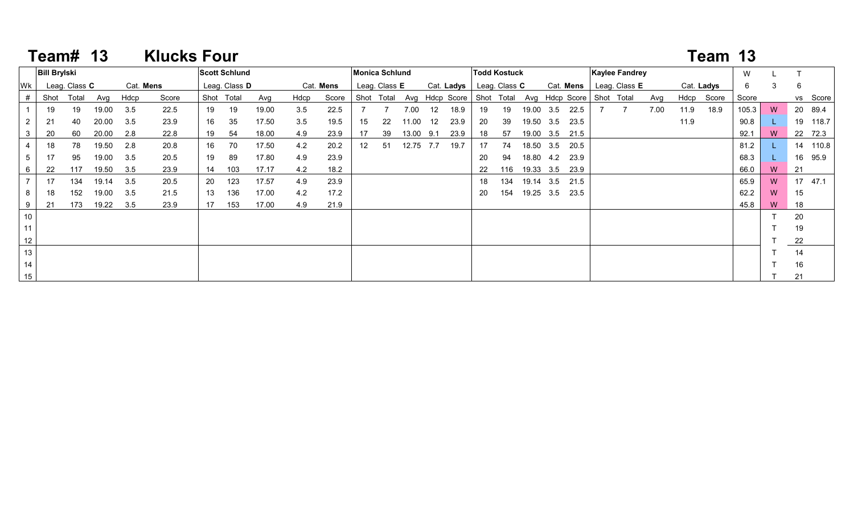|    | Team# 13            |               |       |           | <b>Klucks Four</b> |    |                      |       |      |           |                 |                |       |                 |                |            |                     |           |           |                |                       |      |            | Team 13 |       |    |    |          |
|----|---------------------|---------------|-------|-----------|--------------------|----|----------------------|-------|------|-----------|-----------------|----------------|-------|-----------------|----------------|------------|---------------------|-----------|-----------|----------------|-----------------------|------|------------|---------|-------|----|----|----------|
|    | <b>Bill Brylski</b> |               |       |           |                    |    | <b>Scott Schlund</b> |       |      |           |                 | Monica Schlund |       |                 |                |            | <b>Todd Kostuck</b> |           |           |                | <b>Kaylee Fandrey</b> |      |            |         | W     |    |    |          |
| Wk |                     | Leag. Class C |       | Cat. Mens |                    |    | Leag. Class D        |       |      | Cat. Mens |                 | Leag. Class E  |       |                 | Cat. Ladys     |            | Leag. Class C       |           |           | Cat. Mens      | Leag. Class E         |      | Cat. Ladys |         | 6     | 3  | 6  |          |
| #  | Shot                | Total         | Avg   | Hdcp      | Score              |    | Shot Total           | Avg   | Hdcp | Score     |                 | Shot Total     |       |                 | Avg Hdcp Score | Shot Total |                     |           |           | Avg Hdcp Score | Shot Total            | Avg  | Hdcp       | Score   | Score |    |    | vs Score |
|    | 19                  | 19            | 19.00 | 3.5       | 22.5               | 19 | 19                   | 19.00 | 3.5  | 22.5      |                 |                | 7.00  | 12              | 18.9           | 19         | 19                  |           | 19.00 3.5 | 22.5           |                       | 7.00 | 11.9       | 18.9    | 105.3 | W  |    | 20 89.4  |
|    | 21                  | 40            | 20.00 | 3.5       | 23.9               | 16 | 35                   | 17.50 | 3.5  | 19.5      | 15              | 22             | 11.00 | 12 <sup>°</sup> | 23.9           | 20         | 39                  | 19.50 3.5 |           | 23.5           |                       |      | 11.9       |         | 90.8  | L. |    | 19 118.7 |
| 3  | 20                  | 60            | 20.00 | 2.8       | 22.8               | 19 | 54                   | 18.00 | 4.9  | 23.9      | 17              | 39             | 13.00 | 9.1             | 23.9           | 18         | 57                  |           | 19.00 3.5 | 21.5           |                       |      |            |         | 92.1  | W  |    | 22 72.3  |
|    | 18                  | 78            | 19.50 | 2.8       | 20.8               | 16 | 70                   | 17.50 | 4.2  | 20.2      | 12 <sup>2</sup> | 51             | 12.75 | 7.7             | 19.7           | 17         | 74                  | 18.50 3.5 |           | 20.5           |                       |      |            |         | 81.2  |    |    | 14 110.8 |
| 5  | 17                  | 95            | 19.00 | 3.5       | 20.5               | 19 | 89                   | 17.80 | 4.9  | 23.9      |                 |                |       |                 |                | 20         | 94                  | 18.80 4.2 |           | 23.9           |                       |      |            |         | 68.3  |    | 16 | 95.9     |
| 6  | 22                  | 117           | 19.50 | 3.5       | 23.9               | 14 | 103                  | 17.17 | 4.2  | 18.2      |                 |                |       |                 |                | 22         | 116                 | 19.33 3.5 |           | 23.9           |                       |      |            |         | 66.0  | W  | 21 |          |
|    | 17                  | 134           | 19.14 | 3.5       | 20.5               | 20 | 123                  | 17.57 | 4.9  | 23.9      |                 |                |       |                 |                | 18         | 134                 | 19.14 3.5 |           | 21.5           |                       |      |            |         | 65.9  | W  |    | 17 47.1  |
| 8  | 18                  | 152           | 19.00 | 3.5       | 21.5               | 13 | 136                  | 17.00 | 4.2  | 17.2      |                 |                |       |                 |                | 20         | 154                 | 19.25 3.5 |           | 23.5           |                       |      |            |         | 62.2  | W  | 15 |          |
| 9  | 21                  | 173           | 19.22 | 3.5       | 23.9               | 17 | 153                  | 17.00 | 4.9  | 21.9      |                 |                |       |                 |                |            |                     |           |           |                |                       |      |            |         | 45.8  | W  | 18 |          |
| 10 |                     |               |       |           |                    |    |                      |       |      |           |                 |                |       |                 |                |            |                     |           |           |                |                       |      |            |         |       |    | 20 |          |
| 11 |                     |               |       |           |                    |    |                      |       |      |           |                 |                |       |                 |                |            |                     |           |           |                |                       |      |            |         |       |    | 19 |          |
| 12 |                     |               |       |           |                    |    |                      |       |      |           |                 |                |       |                 |                |            |                     |           |           |                |                       |      |            |         |       |    | 22 |          |
| 13 |                     |               |       |           |                    |    |                      |       |      |           |                 |                |       |                 |                |            |                     |           |           |                |                       |      |            |         |       |    | 14 |          |
| 14 |                     |               |       |           |                    |    |                      |       |      |           |                 |                |       |                 |                |            |                     |           |           |                |                       |      |            |         |       |    | 16 |          |
| 15 |                     |               |       |           |                    |    |                      |       |      |           |                 |                |       |                 |                |            |                     |           |           |                |                       |      |            |         |       |    | 21 |          |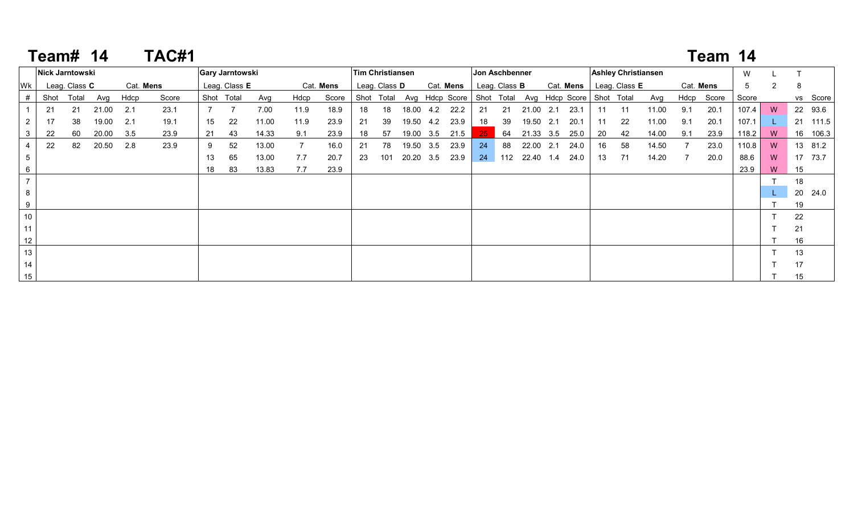|                | Team# |                      | 14    |           | TAC#1 |    |                        |       |             |           |    |                         |           |                                                     |    |                      |           |     |           |    |                            |       |      | Team 14   |       |                |    |          |
|----------------|-------|----------------------|-------|-----------|-------|----|------------------------|-------|-------------|-----------|----|-------------------------|-----------|-----------------------------------------------------|----|----------------------|-----------|-----|-----------|----|----------------------------|-------|------|-----------|-------|----------------|----|----------|
|                |       | Nick Jarntowski      |       |           |       |    | <b>Gary Jarntowski</b> |       |             |           |    | <b>Tim Christiansen</b> |           |                                                     |    | Jon Aschbenner       |           |     |           |    | <b>Ashley Christiansen</b> |       |      |           | W     |                |    |          |
| Wk             |       | Leag. Class <b>C</b> |       | Cat. Mens |       |    | Leag. Class E          |       |             | Cat. Mens |    | Leag. Class <b>D</b>    |           | Cat. Mens                                           |    | Leag. Class <b>B</b> |           |     | Cat. Mens |    | Leag. Class <b>E</b>       |       |      | Cat. Mens | 5     | $\overline{2}$ | -8 |          |
|                | Shot  | Total                | Avg   | Hdcp      | Score |    | Shot Total             | Avg   | Hdcp        | Score     |    | Shot Total              |           | Avg Hdcp Score Shot Total Avg Hdcp Score Shot Total |    |                      |           |     |           |    |                            | Avg   | Hdcp | Score     | Score |                |    | vs Score |
|                | 21    | 21                   | 21.00 | 2.1       | 23.1  |    |                        | 7.00  | 11.9        | 18.9      | 18 | 18                      | 18.00 4.2 | 22.2                                                | 21 | -21                  | 21.00     | 2.1 | 23.1      | 11 | 11                         | 11.00 | 9.1  | 20.1      | 107.4 | W              |    | 22 93.6  |
| $\overline{2}$ | 17    | 38                   | 19.00 | 2.1       | 19.1  | 15 | 22                     | 11.00 | 11.9        | 23.9      | 21 | 39                      | 19.50 4.2 | 23.9                                                | 18 | 39                   | 19.50 2.1 |     | 20.1      | 11 | 22                         | 11.00 | 9.1  | 20.1      | 107.1 |                |    | 21 111.5 |
|                | 22    | 60                   | 20.00 | 3.5       | 23.9  | 21 | 43                     | 14.33 | 9.1         | 23.9      | 18 | 57                      | 19.00 3.5 | 21.5                                                | 25 | 64                   | 21.33 3.5 |     | 25.0      | 20 | 42                         | 14.00 | 9.1  | 23.9      | 118.2 | W              |    | 16 106.3 |
|                | 22    | 82                   | 20.50 | 2.8       | 23.9  | 9  | 52                     | 13.00 | $7^{\circ}$ | 16.0      | 21 | 78                      | 19.50 3.5 | 23.9                                                | 24 | 88                   | 22.00 2.1 |     | 24.0      | 16 | 58                         | 14.50 |      | 23.0      | 110.8 | W              |    | 13 81.2  |
| 5              |       |                      |       |           |       | 13 | 65                     | 13.00 | 7.7         | 20.7      | 23 | 101                     | 20.20 3.5 | 23.9                                                | 24 | 112                  | 22.40 1.4 |     | 24.0      | 13 | 71                         | 14.20 |      | 20.0      | 88.6  | W              |    | 17 73.7  |
| 6              |       |                      |       |           |       | 18 | 83                     | 13.83 | 7.7         | 23.9      |    |                         |           |                                                     |    |                      |           |     |           |    |                            |       |      |           | 23.9  | W              | 15 |          |
|                |       |                      |       |           |       |    |                        |       |             |           |    |                         |           |                                                     |    |                      |           |     |           |    |                            |       |      |           |       |                | 18 |          |
| 8              |       |                      |       |           |       |    |                        |       |             |           |    |                         |           |                                                     |    |                      |           |     |           |    |                            |       |      |           |       |                |    | 20 24.0  |
|                |       |                      |       |           |       |    |                        |       |             |           |    |                         |           |                                                     |    |                      |           |     |           |    |                            |       |      |           |       |                | 19 |          |
| 10             |       |                      |       |           |       |    |                        |       |             |           |    |                         |           |                                                     |    |                      |           |     |           |    |                            |       |      |           |       |                | 22 |          |
| 11             |       |                      |       |           |       |    |                        |       |             |           |    |                         |           |                                                     |    |                      |           |     |           |    |                            |       |      |           |       |                | 21 |          |
| 12             |       |                      |       |           |       |    |                        |       |             |           |    |                         |           |                                                     |    |                      |           |     |           |    |                            |       |      |           |       |                | 16 |          |
| 13             |       |                      |       |           |       |    |                        |       |             |           |    |                         |           |                                                     |    |                      |           |     |           |    |                            |       |      |           |       |                | 13 |          |
| 14             |       |                      |       |           |       |    |                        |       |             |           |    |                         |           |                                                     |    |                      |           |     |           |    |                            |       |      |           |       |                | 17 |          |
| 15             |       |                      |       |           |       |    |                        |       |             |           |    |                         |           |                                                     |    |                      |           |     |           |    |                            |       |      |           |       |                | 15 |          |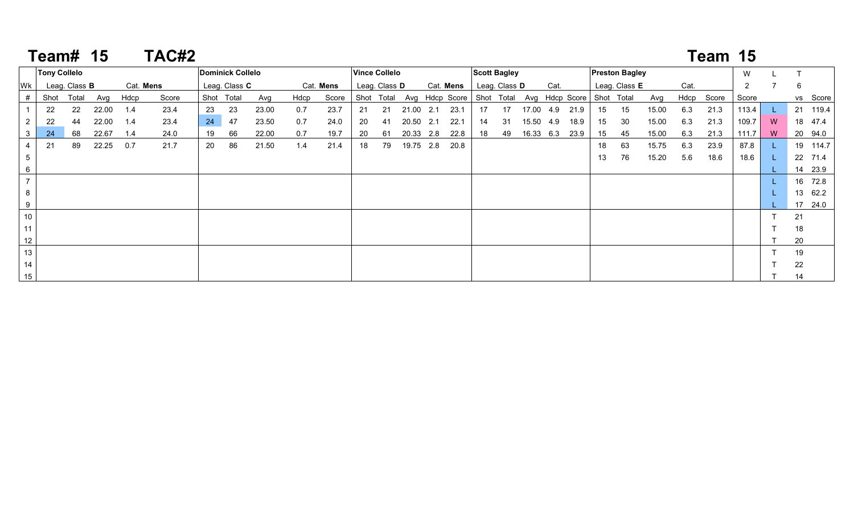|                 | <b>Team# 15</b>     |                      |       |           | TAC#2 |                         |               |       |      |           |     |                      |           |     |                                                     |                     |                      |           |      |    |                       |       |      | Team 15    |                |   |    |          |
|-----------------|---------------------|----------------------|-------|-----------|-------|-------------------------|---------------|-------|------|-----------|-----|----------------------|-----------|-----|-----------------------------------------------------|---------------------|----------------------|-----------|------|----|-----------------------|-------|------|------------|----------------|---|----|----------|
|                 | <b>Tony Collelo</b> |                      |       |           |       | <b>Dominick Collelo</b> |               |       |      |           |     | <b>Vince Collelo</b> |           |     |                                                     | <b>Scott Bagley</b> |                      |           |      |    | <b>Preston Bagley</b> |       |      |            | W              |   |    |          |
| Wk              |                     | Leag. Class <b>B</b> |       | Cat. Mens |       |                         | Leag. Class C |       |      | Cat. Mens |     | Leag. Class D        |           |     | Cat. Mens                                           |                     | Leag. Class <b>D</b> | Cat.      |      |    | Leag. Class E         |       | Cat. |            | $\overline{2}$ |   | 6  |          |
| #               | Shot                | Total                | Avg   | Hdcp      | Score |                         | Shot Total    | Avg   | Hdcp | Score     |     | Shot Total           |           |     | Avg Hdcp Score Shot Total Avg Hdcp Score Shot Total |                     |                      |           |      |    |                       | Avg   |      | Hdcp Score | Score          |   |    | vs Score |
|                 | 22                  | 22                   | 22.00 | 1.4       | 23.4  | 23                      | 23            | 23.00 | 0.7  | 23.7      | -21 | 21                   | 21.00 2.1 |     | 23.1                                                | 17                  | 17                   | 17.00 4.9 | 21.9 | 15 | 15                    | 15.00 | 6.3  | 21.3       | 113.4          |   |    | 21 119.4 |
| $\overline{2}$  | 22                  | 44                   | 22.00 | 1.4       | 23.4  | 24                      | 47            | 23.50 | 0.7  | 24.0      | -20 | 41                   | 20.50     | 2.1 | 22.1                                                | 14                  | -31                  | 15.50 4.9 | 18.9 | 15 | 30                    | 15.00 | 6.3  | 21.3       | 109.7          | W |    | 18 47.4  |
| 3               | 24                  | 68                   | 22.67 | 1.4       | 24.0  | 19                      | 66            | 22.00 | 0.7  | 19.7      | 20  | 61                   | 20.33 2.8 |     | 22.8                                                | 18                  | 49                   | 16.33 6.3 | 23.9 | 15 | 45                    | 15.00 | 6.3  | 21.3       | 111.7          | W |    | 20 94.0  |
| $\overline{4}$  | 21                  | 89                   | 22.25 | 0.7       | 21.7  | 20                      | 86            | 21.50 | 1.4  | 21.4      | 18  | 79                   | 19.75 2.8 |     | 20.8                                                |                     |                      |           |      | 18 | 63                    | 15.75 | 6.3  | 23.9       | 87.8           |   |    | 19 114.7 |
| $5\phantom{.0}$ |                     |                      |       |           |       |                         |               |       |      |           |     |                      |           |     |                                                     |                     |                      |           |      | 13 | 76                    | 15.20 | 5.6  | 18.6       | 18.6           |   |    | 22 71.4  |
| $6\phantom{.}6$ |                     |                      |       |           |       |                         |               |       |      |           |     |                      |           |     |                                                     |                     |                      |           |      |    |                       |       |      |            |                |   |    | 14 23.9  |
| $\overline{7}$  |                     |                      |       |           |       |                         |               |       |      |           |     |                      |           |     |                                                     |                     |                      |           |      |    |                       |       |      |            |                |   |    | 16 72.8  |
| 8               |                     |                      |       |           |       |                         |               |       |      |           |     |                      |           |     |                                                     |                     |                      |           |      |    |                       |       |      |            |                |   |    | 13 62.2  |
| 9               |                     |                      |       |           |       |                         |               |       |      |           |     |                      |           |     |                                                     |                     |                      |           |      |    |                       |       |      |            |                |   |    | 17 24.0  |
| 10              |                     |                      |       |           |       |                         |               |       |      |           |     |                      |           |     |                                                     |                     |                      |           |      |    |                       |       |      |            |                |   | 21 |          |
| 11              |                     |                      |       |           |       |                         |               |       |      |           |     |                      |           |     |                                                     |                     |                      |           |      |    |                       |       |      |            |                |   | 18 |          |
| 12              |                     |                      |       |           |       |                         |               |       |      |           |     |                      |           |     |                                                     |                     |                      |           |      |    |                       |       |      |            |                |   | 20 |          |
| 13              |                     |                      |       |           |       |                         |               |       |      |           |     |                      |           |     |                                                     |                     |                      |           |      |    |                       |       |      |            |                |   | 19 |          |
| 14              |                     |                      |       |           |       |                         |               |       |      |           |     |                      |           |     |                                                     |                     |                      |           |      |    |                       |       |      |            |                |   | 22 |          |
| 15              |                     |                      |       |           |       |                         |               |       |      |           |     |                      |           |     |                                                     |                     |                      |           |      |    |                       |       |      |            |                |   | 14 |          |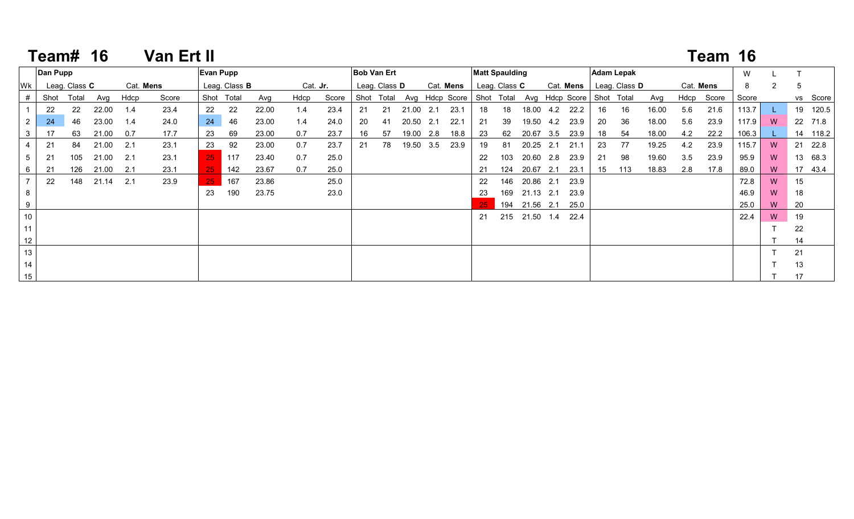|                      | <b>Team# 16</b> |               |       |      | <b>Van Ert II</b> |                  |                      |       |      |                 |    |               |           |     |                                          |                       |               |           |     |           |            |                      |       |     | Team 16    |       |          |    |          |
|----------------------|-----------------|---------------|-------|------|-------------------|------------------|----------------------|-------|------|-----------------|----|---------------|-----------|-----|------------------------------------------|-----------------------|---------------|-----------|-----|-----------|------------|----------------------|-------|-----|------------|-------|----------|----|----------|
|                      | Dan Pupp        |               |       |      |                   | <b>Evan Pupp</b> |                      |       |      |                 |    | Bob Van Ert   |           |     |                                          | <b>Matt Spaulding</b> |               |           |     |           |            | <b>Adam Lepak</b>    |       |     |            | W     |          |    |          |
| Wk                   |                 | Leag. Class C |       |      | Cat. Mens         |                  | Leag. Class <b>B</b> |       |      | Cat. <b>Jr.</b> |    | Leag. Class D |           |     | Cat. Mens                                |                       | Leag. Class C |           |     | Cat. Mens |            | Leag. Class <b>D</b> |       |     | Cat. Mens  | 8     | 2        | 5  |          |
|                      | Shot            | Total         | Avg   | Hdcp | Score             |                  | Shot Total           | Avg   | Hdcp | Score           |    | Shot Total    |           |     | Avg Hdcp Score Shot Total Avg Hdcp Score |                       |               |           |     |           | Shot Total |                      | Avg   |     | Hdcp Score | Score |          |    | vs Score |
|                      | 22              | 22            | 22.00 | 1.4  | 23.4              | 22               | 22                   | 22.00 | 1.4  | 23.4            | 21 | 21            | 21.00 2.1 |     | 23.1                                     | 18                    | 18            | 18.00     | 4.2 | 22.2      | 16         | 16                   | 16.00 | 5.6 | 21.6       | 113.7 |          |    | 19 120.5 |
| $\mathbf{2}^{\circ}$ | 24              | 46            | 23.00 | 1.4  | 24.0              | 24               | 46                   | 23.00 | 1.4  | 24.0            | 20 | 41            | 20.50     | 2.1 | 22.1                                     | 21                    | 39            | 19.50     | 4.2 | 23.9      | 20         | 36                   | 18.00 | 5.6 | 23.9       | 117.9 | <b>W</b> |    | 22 71.8  |
| 3                    | 17              | 63            | 21.00 | 0.7  | 17.7              | 23               | 69                   | 23.00 | 0.7  | 23.7            | 16 | 57            | 19.00     | 2.8 | 18.8                                     | 23                    | 62            | 20.67     | 3.5 | 23.9      | 18         | 54                   | 18.00 | 4.2 | 22.2       | 106.3 |          |    | 14 118.2 |
|                      | 21              | 84            | 21.00 | 2.1  | 23.1              | 23               | 92                   | 23.00 | 0.7  | 23.7            | 21 | 78            | 19.50     | 3.5 | 23.9                                     | 19                    | 81            | 20.25     | 2.1 | 21.1      | 23         | 77                   | 19.25 | 4.2 | 23.9       | 115.7 | W        |    | 21 22.8  |
| 5                    | 21              | 105           | 21.00 | 2.1  | 23.1              | 25               | 117                  | 23.40 | 0.7  | 25.0            |    |               |           |     |                                          | 22                    | 103           | 20.60     | 2.8 | 23.9      | 21         | 98                   | 19.60 | 3.5 | 23.9       | 95.9  | W        |    | 13 68.3  |
| 6                    | 21              | 126           | 21.00 | 2.1  | 23.1              |                  | 142                  | 23.67 | 0.7  | 25.0            |    |               |           |     |                                          | 21                    | 124           | 20.67     | 2.1 | 23.1      | 15         | 113                  | 18.83 | 2.8 | 17.8       | 89.0  | W        |    | 17 43.4  |
|                      | 22              | 148           | 21.14 | 2.1  | 23.9              | 25               | 167                  | 23.86 |      | 25.0            |    |               |           |     |                                          | 22                    | 146           | 20.86 2.1 |     | 23.9      |            |                      |       |     |            | 72.8  | W        | 15 |          |
| 8                    |                 |               |       |      |                   | 23               | 190                  | 23.75 |      | 23.0            |    |               |           |     |                                          | 23                    | 169           | 21.13     | 2.1 | 23.9      |            |                      |       |     |            | 46.9  | W        | 18 |          |
| 9                    |                 |               |       |      |                   |                  |                      |       |      |                 |    |               |           |     |                                          |                       | 194           | 21.56 2.1 |     | 25.0      |            |                      |       |     |            | 25.0  | W        | 20 |          |
| 10                   |                 |               |       |      |                   |                  |                      |       |      |                 |    |               |           |     |                                          | 21                    | 215           | 21.50 1.4 |     | 22.4      |            |                      |       |     |            | 22.4  | W        | 19 |          |
| 11                   |                 |               |       |      |                   |                  |                      |       |      |                 |    |               |           |     |                                          |                       |               |           |     |           |            |                      |       |     |            |       |          | 22 |          |
| 12 <sub>2</sub>      |                 |               |       |      |                   |                  |                      |       |      |                 |    |               |           |     |                                          |                       |               |           |     |           |            |                      |       |     |            |       |          | 14 |          |
| 13                   |                 |               |       |      |                   |                  |                      |       |      |                 |    |               |           |     |                                          |                       |               |           |     |           |            |                      |       |     |            |       |          | 21 |          |
| 14                   |                 |               |       |      |                   |                  |                      |       |      |                 |    |               |           |     |                                          |                       |               |           |     |           |            |                      |       |     |            |       |          | 13 |          |
| 15                   |                 |               |       |      |                   |                  |                      |       |      |                 |    |               |           |     |                                          |                       |               |           |     |           |            |                      |       |     |            |       |          | 17 |          |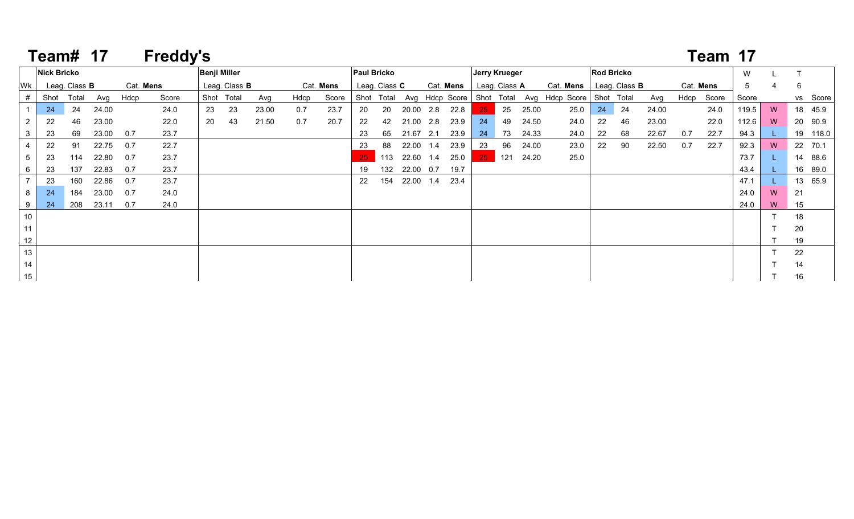|                 | Team# 17           |                      |       |           | <b>Freddy's</b> |    |                      |       |      |           |                    |                      |           |           |                      |                      |       |                                                                |                   |    |       |     | Team 17    |       |   |    |          |
|-----------------|--------------------|----------------------|-------|-----------|-----------------|----|----------------------|-------|------|-----------|--------------------|----------------------|-----------|-----------|----------------------|----------------------|-------|----------------------------------------------------------------|-------------------|----|-------|-----|------------|-------|---|----|----------|
|                 | <b>Nick Bricko</b> |                      |       |           |                 |    | <b>Benji Miller</b>  |       |      |           | <b>Paul Bricko</b> |                      |           |           | <b>Jerry Krueger</b> |                      |       |                                                                | <b>Rod Bricko</b> |    |       |     |            | W     |   |    |          |
| lWk.            |                    | Leag. Class <b>B</b> |       | Cat. Mens |                 |    | Leag. Class <b>B</b> |       |      | Cat. Mens |                    | Leag. Class <b>C</b> |           | Cat. Mens |                      | Leag. Class <b>A</b> |       | Cat. Mens   Leag. Class B                                      |                   |    |       |     | Cat. Mens  | 5     |   | 6  |          |
|                 | Shot               | Total                | Avg   | Hdcp      | Score           |    | Shot Total           | Avg   | Hdcp | Score     |                    |                      |           |           |                      |                      |       | Shot Total Avg Hdcp Score Shot Total Avg Hdcp Score Shot Total |                   |    | Avg   |     | Hdcp Score | Score |   |    | vs Score |
|                 | -24                | 24                   | 24.00 |           | 24.0            | 23 | 23                   | 23.00 | 0.7  | 23.7      | 20                 | 20                   | 20.00 2.8 | 22.8      | $25 -$               | 25                   | 25.00 | 25.0                                                           | 24                | 24 | 24.00 |     | 24.0       | 119.5 | W |    | 18 45.9  |
| 2               | 22                 | 46                   | 23.00 |           | 22.0            | 20 | 43                   | 21.50 | 0.7  | 20.7      | 22                 | 42                   | 21.00 2.8 | 23.9      | 24                   | 49                   | 24.50 | 24.0                                                           | 22                | 46 | 23.00 |     | 22.0       | 112.6 | W |    | 20 90.9  |
| 3               | 23                 | 69                   | 23.00 | 0.7       | 23.7            |    |                      |       |      |           | 23                 | 65                   | 21.67 2.1 | 23.9      | 24                   | 73                   | 24.33 | 24.0                                                           | 22                | 68 | 22.67 | 0.7 | 22.7       | 94.3  |   |    | 19 118.0 |
|                 | 22                 | 91                   | 22.75 | 0.7       | 22.7            |    |                      |       |      |           | 23                 | 88                   | 22.00 1.4 | 23.9      | 23                   | 96                   | 24.00 | 23.0                                                           | 22                | 90 | 22.50 | 0.7 | 22.7       | 92.3  | W |    | 22 70.1  |
|                 | 23                 | 114                  | 22.80 | 0.7       | 23.7            |    |                      |       |      |           | 25                 | 113                  | 22.60 1.4 | 25.0      | $25 -$               | 121                  | 24.20 | 25.0                                                           |                   |    |       |     |            | 73.7  |   |    | 14 88.6  |
| 6               | 23                 | 137                  | 22.83 | 0.7       | 23.7            |    |                      |       |      |           | 19                 | 132                  | 22.00 0.7 | 19.7      |                      |                      |       |                                                                |                   |    |       |     |            | 43.4  |   |    | 16 89.0  |
|                 | 23                 | 160                  | 22.86 | 0.7       | 23.7            |    |                      |       |      |           | 22                 | 154                  | 22.00 1.4 | 23.4      |                      |                      |       |                                                                |                   |    |       |     |            | 47.1  |   |    | 13 65.9  |
|                 | 24                 | 184                  | 23.00 | 0.7       | 24.0            |    |                      |       |      |           |                    |                      |           |           |                      |                      |       |                                                                |                   |    |       |     |            | 24.0  | W | 21 |          |
|                 | 24                 | 208                  | 23.11 | 0.7       | 24.0            |    |                      |       |      |           |                    |                      |           |           |                      |                      |       |                                                                |                   |    |       |     |            | 24.0  | W | 15 |          |
| 10 <sup>°</sup> |                    |                      |       |           |                 |    |                      |       |      |           |                    |                      |           |           |                      |                      |       |                                                                |                   |    |       |     |            |       |   | 18 |          |
| 11              |                    |                      |       |           |                 |    |                      |       |      |           |                    |                      |           |           |                      |                      |       |                                                                |                   |    |       |     |            |       |   | 20 |          |
| 12 <sup>°</sup> |                    |                      |       |           |                 |    |                      |       |      |           |                    |                      |           |           |                      |                      |       |                                                                |                   |    |       |     |            |       |   | 19 |          |
| 13              |                    |                      |       |           |                 |    |                      |       |      |           |                    |                      |           |           |                      |                      |       |                                                                |                   |    |       |     |            |       |   | 22 |          |
| 14              |                    |                      |       |           |                 |    |                      |       |      |           |                    |                      |           |           |                      |                      |       |                                                                |                   |    |       |     |            |       |   | 14 |          |
| 15              |                    |                      |       |           |                 |    |                      |       |      |           |                    |                      |           |           |                      |                      |       |                                                                |                   |    |       |     |            |       |   | 16 |          |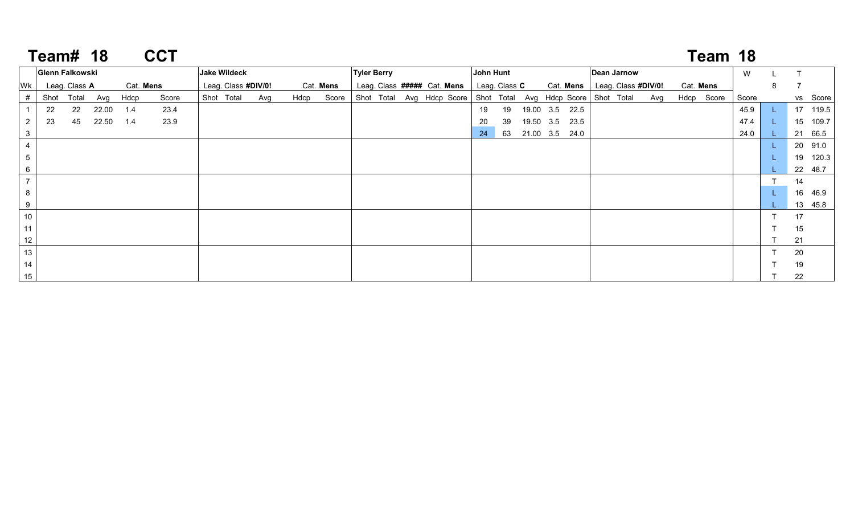|                 | <b>Team# 18</b> |                        |       |           | <b>CCT</b> |                     |     |      |           |                    |  |                             |    |               |                                                                |                     |     |            | Team 18 |       |   |    |          |
|-----------------|-----------------|------------------------|-------|-----------|------------|---------------------|-----|------|-----------|--------------------|--|-----------------------------|----|---------------|----------------------------------------------------------------|---------------------|-----|------------|---------|-------|---|----|----------|
|                 |                 | <b>Glenn Falkowski</b> |       |           |            | <b>Jake Wildeck</b> |     |      |           | <b>Tyler Berry</b> |  |                             |    | John Hunt     |                                                                | <b>Dean Jarnow</b>  |     |            |         | W     |   |    |          |
| Wk              |                 | Leag. Class A          |       | Cat. Mens |            | Leag. Class #DIV/0! |     |      | Cat. Mens |                    |  | Leag. Class ##### Cat. Mens |    | Leag. Class C | Cat. Mens                                                      | Leag. Class #DIV/0! |     | Cat. Mens  |         |       | 8 |    |          |
| #               | Shot            | Total                  | Avg   | Hdcp      | Score      | Shot Total          | Avg | Hdcp | Score     |                    |  |                             |    |               | Shot Total Avg Hdcp Score Shot Total Avg Hdcp Score Shot Total |                     | Avg | Hdcp Score |         | Score |   |    | vs Score |
|                 | 22              | 22                     | 22.00 | 1.4       | 23.4       |                     |     |      |           |                    |  |                             | 19 | 19            | 19.00 3.5 22.5                                                 |                     |     |            |         | 45.9  |   |    | 17 119.5 |
| $\overline{2}$  | 23              | 45                     | 22.50 | 1.4       | 23.9       |                     |     |      |           |                    |  |                             | 20 | 39            | 19.50 3.5 23.5                                                 |                     |     |            |         | 47.4  |   |    | 15 109.7 |
| $\mathbf{3}$    |                 |                        |       |           |            |                     |     |      |           |                    |  |                             | 24 |               | 63 21.00 3.5 24.0                                              |                     |     |            |         | 24.0  |   |    | 21 66.5  |
| $\overline{4}$  |                 |                        |       |           |            |                     |     |      |           |                    |  |                             |    |               |                                                                |                     |     |            |         |       |   |    | 20 91.0  |
| $5\phantom{.0}$ |                 |                        |       |           |            |                     |     |      |           |                    |  |                             |    |               |                                                                |                     |     |            |         |       |   |    | 19 120.3 |
| 6               |                 |                        |       |           |            |                     |     |      |           |                    |  |                             |    |               |                                                                |                     |     |            |         |       |   |    | 22 48.7  |
| $\overline{7}$  |                 |                        |       |           |            |                     |     |      |           |                    |  |                             |    |               |                                                                |                     |     |            |         |       |   | 14 |          |
| 8               |                 |                        |       |           |            |                     |     |      |           |                    |  |                             |    |               |                                                                |                     |     |            |         |       |   |    | 16 46.9  |
| 9               |                 |                        |       |           |            |                     |     |      |           |                    |  |                             |    |               |                                                                |                     |     |            |         |       |   |    | 13 45.8  |
| $10\,$          |                 |                        |       |           |            |                     |     |      |           |                    |  |                             |    |               |                                                                |                     |     |            |         |       |   | 17 |          |
| 11              |                 |                        |       |           |            |                     |     |      |           |                    |  |                             |    |               |                                                                |                     |     |            |         |       |   | 15 |          |
| 12              |                 |                        |       |           |            |                     |     |      |           |                    |  |                             |    |               |                                                                |                     |     |            |         |       |   | 21 |          |
| 13              |                 |                        |       |           |            |                     |     |      |           |                    |  |                             |    |               |                                                                |                     |     |            |         |       |   | 20 |          |
| 14              |                 |                        |       |           |            |                     |     |      |           |                    |  |                             |    |               |                                                                |                     |     |            |         |       |   | 19 |          |
| 15              |                 |                        |       |           |            |                     |     |      |           |                    |  |                             |    |               |                                                                |                     |     |            |         |       |   | 22 |          |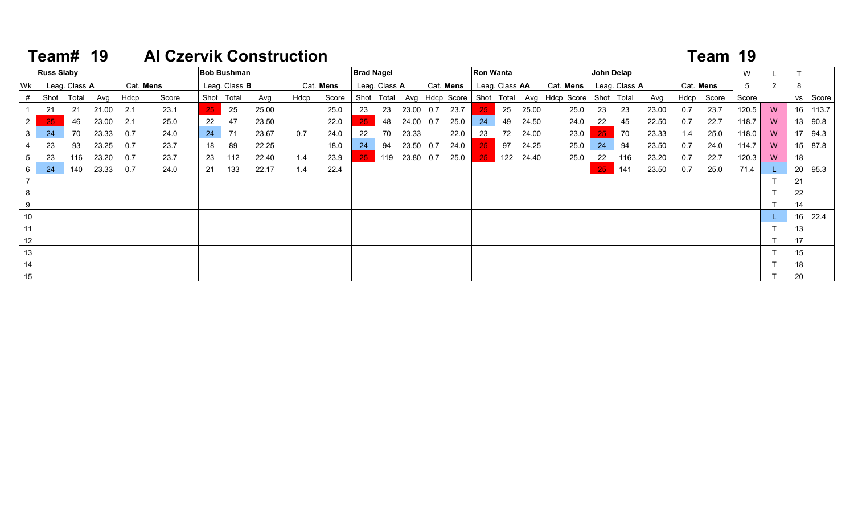## **19 Al Czervik Construction Team #19 Team#**

|                 | <b>Russ Slaby</b> |               |       |           |       |                 | <b>Bob Bushman</b>   |       |      |           | <b>Brad Nagel</b> |               |           |           | <b>Ron Wanta</b> |                |       |                                                         |                 | John Delap    |       |     |            | W     |                |            |
|-----------------|-------------------|---------------|-------|-----------|-------|-----------------|----------------------|-------|------|-----------|-------------------|---------------|-----------|-----------|------------------|----------------|-------|---------------------------------------------------------|-----------------|---------------|-------|-----|------------|-------|----------------|------------|
| <b>WK</b>       |                   | Leag. Class A |       | Cat. Mens |       |                 | Leag. Class <b>B</b> |       |      | Cat. Mens |                   | Leag. Class A |           | Cat. Mens |                  | Leag. Class AA |       | Cat. Mens                                               |                 | Leag. Class A |       |     | Cat. Mens  | 5     | $\overline{2}$ | 8          |
|                 | Shot              | Total         | Avg   | Hdcp      | Score |                 | Shot Total           | Avg   | Hdcp | Score     |                   | Shot Total    |           |           |                  |                |       | Avg Hdcp Score   Shot Total Avg Hdcp Score   Shot Total |                 |               | Avg   |     | Hdcp Score | Score |                | vs Score   |
|                 | 21                | 21            | 21.00 | 2.1       | 23.1  | 25 <sub>1</sub> | 25                   | 25.00 |      | 25.0      | 23                | 23            | 23.00 0.7 | 23.7      | -25.             | 25             | 25.00 | 25.0                                                    | 23              | 23            | 23.00 | 0.7 | 23.7       | 120.5 | W              | 16 113.7   |
| $2^{\circ}$     | 25                | 46            | 23.00 | 2.1       | 25.0  | 22              | 47                   | 23.50 |      | 22.0      | 25 <sub>1</sub>   | 48            | 24.00 0.7 | 25.0      | 24               | 49             | 24.50 | 24.0                                                    | 22              | 45            | 22.50 | 0.7 | 22.7       | 118.7 | W              | 13 90.8    |
| 3               | 24                | 70            | 23.33 | 0.7       | 24.0  | 24              | 71                   | 23.67 | 0.7  | 24.0      | 22                | 70            | 23.33     | 22.0      | 23               | 72             | 24.00 | 23.0                                                    | 25 <sub>1</sub> | 70            | 23.33 | 1.4 | 25.0       | 118.0 | W              | 17 94.3    |
|                 | 23                | 93            | 23.25 | 0.7       | 23.7  | 18              | 89                   | 22.25 |      | 18.0      | 24                | 94            | 23.50 0.7 | 24.0      | $25 -$           | 97             | 24.25 | 25.0                                                    | 24              | 94            | 23.50 | 0.7 | 24.0       | 114.7 | W              | 15 87.8    |
| 5               | 23                | 116           | 23.20 | 0.7       | 23.7  | 23              | 112                  | 22.40 | 1.4  | 23.9      | $25 -$            | 119           | 23.80 0.7 | 25.0      | $25 -$           | 122            | 24.40 | 25.0                                                    | 22              | 116           | 23.20 | 0.7 | 22.7       | 120.3 | W              | 18         |
| 6               | 24                | 140           | 23.33 | 0.7       | 24.0  | 21              | 133                  | 22.17 | 1.4  | 22.4      |                   |               |           |           |                  |                |       |                                                         | 25              | 141           | 23.50 | 0.7 | 25.0       | 71.4  |                | 20<br>95.3 |
|                 |                   |               |       |           |       |                 |                      |       |      |           |                   |               |           |           |                  |                |       |                                                         |                 |               |       |     |            |       |                | 21         |
| 8               |                   |               |       |           |       |                 |                      |       |      |           |                   |               |           |           |                  |                |       |                                                         |                 |               |       |     |            |       |                | 22         |
| 9               |                   |               |       |           |       |                 |                      |       |      |           |                   |               |           |           |                  |                |       |                                                         |                 |               |       |     |            |       |                | 14         |
| 10 <sup>1</sup> |                   |               |       |           |       |                 |                      |       |      |           |                   |               |           |           |                  |                |       |                                                         |                 |               |       |     |            |       |                | 16 22.4    |
| 11              |                   |               |       |           |       |                 |                      |       |      |           |                   |               |           |           |                  |                |       |                                                         |                 |               |       |     |            |       |                | 13         |
| 12              |                   |               |       |           |       |                 |                      |       |      |           |                   |               |           |           |                  |                |       |                                                         |                 |               |       |     |            |       |                | 17         |
| 13              |                   |               |       |           |       |                 |                      |       |      |           |                   |               |           |           |                  |                |       |                                                         |                 |               |       |     |            |       |                | 15         |
| 14              |                   |               |       |           |       |                 |                      |       |      |           |                   |               |           |           |                  |                |       |                                                         |                 |               |       |     |            |       |                | 18         |
| 15              |                   |               |       |           |       |                 |                      |       |      |           |                   |               |           |           |                  |                |       |                                                         |                 |               |       |     |            |       | 20             |            |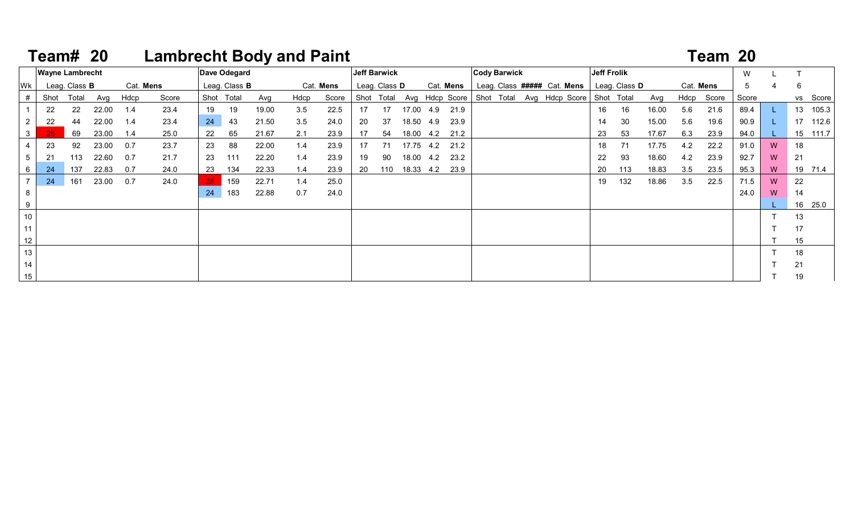# **20 Lambrecht Body and Paint Team #20 Team#**

|    |                        |                      |       |           | ____________ |    |                      | . <b>.</b> |      |           |     |                     |                  |           |                     |  |                                                                |             |                      |       |     |            |             |                |          |
|----|------------------------|----------------------|-------|-----------|--------------|----|----------------------|------------|------|-----------|-----|---------------------|------------------|-----------|---------------------|--|----------------------------------------------------------------|-------------|----------------------|-------|-----|------------|-------------|----------------|----------|
|    | <b>Wayne Lambrecht</b> |                      |       |           |              |    | Dave Odegard         |            |      |           |     | <b>Jeff Barwick</b> |                  |           | <b>Cody Barwick</b> |  |                                                                | Jeff Frolik |                      |       |     |            | W           |                |          |
| Wk |                        | Leag. Class <b>B</b> |       | Cat. Mens |              |    | Leag. Class <b>B</b> |            |      | Cat. Mens |     | Leag. Class D       |                  | Cat. Mens |                     |  | Leag. Class ##### Cat. Mens                                    |             | Leag. Class <b>D</b> |       |     | Cat. Mens  | $5^{\circ}$ | 4              | 6        |
| #  | Shot                   | Total                | Avg   | Hdcp      | Score        |    | Shot Total           | Avg        | Hdcp | Score     |     |                     |                  |           |                     |  | Shot Total Avg Hdcp Score Shot Total Avg Hdcp Score Shot Total |             |                      | Avg   |     | Hdcp Score | Score       |                | vs Score |
|    | 22                     | 22                   | 22.00 | 1.4       | 23.4         | 19 | 19                   | 19.00      | 3.5  | 22.5      | 17  | 17                  | 17.00  4.9  21.9 |           |                     |  |                                                                | 16          | 16                   | 16.00 | 5.6 | 21.6       | 89.4        |                | 13 105.3 |
|    | 22                     | 44                   | 22.00 | 1.4       | 23.4         | 24 | 43                   | 21.50      | 3.5  | 24.0      | 20  | 37                  | 18.50 4.9        | 23.9      |                     |  |                                                                | 14          | 30                   | 15.00 | 5.6 | 19.6       | 90.9        |                | 17 112.6 |
|    | 25 <sub>1</sub>        | 69                   | 23.00 | 1.4       | 25.0         | 22 | 65                   | 21.67      | 2.1  | 23.9      | 17  | 54                  | 18.00 4.2        | 21.2      |                     |  |                                                                | 23          | 53                   | 17.67 | 6.3 | 23.9       | 94.0        |                | 15 111.7 |
|    | 23                     | 92                   | 23.00 | 0.7       | 23.7         | 23 | 88                   | 22.00      | 1.4  | 23.9      | 17  | 71                  | 17.75 4.2        | 21.2      |                     |  |                                                                | 18          | -71                  | 17.75 | 4.2 | 22.2       | 91.0        | W              | 18       |
|    | 21                     | 113                  | 22.60 | 0.7       | 21.7         | 23 | 111                  | 22.20      | 1.4  | 23.9      | 19  | 90                  | 18.00 4.2        | 23.2      |                     |  |                                                                | 22          | 93                   | 18.60 | 4.2 | 23.9       | 92.7        | W <sub>1</sub> | 21       |
|    | 24                     | 137                  | 22.83 | 0.7       | 24.0         | 23 | 134                  | 22.33      | 1.4  | 23.9      | -20 | 110                 | 18.33 4.2        | 23.9      |                     |  |                                                                | 20          | 113                  | 18.83 | 3.5 | 23.5       | 95.3        | W              | 19 71.4  |
|    | 24                     | 161                  | 23.00 | 0.7       | 24.0         |    | 159                  | 22.71      | 1.4  | 25.0      |     |                     |                  |           |                     |  |                                                                | 19          | 132                  | 18.86 | 3.5 | 22.5       | 71.5        | W              | 22       |
|    |                        |                      |       |           |              | 24 | 183                  | 22.88      | 0.7  | 24.0      |     |                     |                  |           |                     |  |                                                                |             |                      |       |     |            | 24.0        | W              | 14       |
|    |                        |                      |       |           |              |    |                      |            |      |           |     |                     |                  |           |                     |  |                                                                |             |                      |       |     |            |             |                | 16 25.0  |
| 10 |                        |                      |       |           |              |    |                      |            |      |           |     |                     |                  |           |                     |  |                                                                |             |                      |       |     |            |             |                | 13       |
|    |                        |                      |       |           |              |    |                      |            |      |           |     |                     |                  |           |                     |  |                                                                |             |                      |       |     |            |             |                | 17       |
|    |                        |                      |       |           |              |    |                      |            |      |           |     |                     |                  |           |                     |  |                                                                |             |                      |       |     |            |             |                | 15       |
| 13 |                        |                      |       |           |              |    |                      |            |      |           |     |                     |                  |           |                     |  |                                                                |             |                      |       |     |            |             |                | 18       |
| 14 |                        |                      |       |           |              |    |                      |            |      |           |     |                     |                  |           |                     |  |                                                                |             |                      |       |     |            |             |                | 21       |
| 15 |                        |                      |       |           |              |    |                      |            |      |           |     |                     |                  |           |                     |  |                                                                |             |                      |       |     |            |             |                | 19       |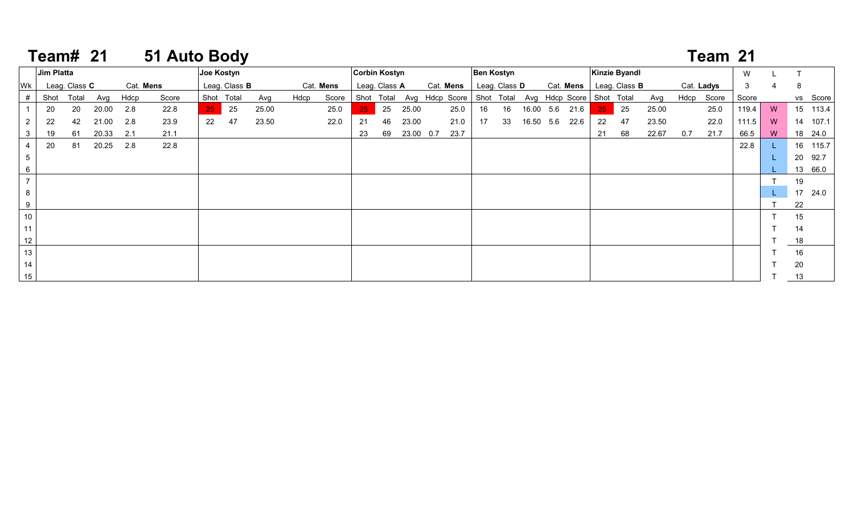## **21 51 Auto Body Team #21 Team#**

|    | Jim Platta |                      |       |           |       |        | Joe Kostyn           |       |      |           | <b>Corbin Kostyn</b> |               |           |                                                                | <b>Ben Kostyn</b> |    |           |                |                 | Kinzie Byandl        |       |     |            | W     |   |    |          |
|----|------------|----------------------|-------|-----------|-------|--------|----------------------|-------|------|-----------|----------------------|---------------|-----------|----------------------------------------------------------------|-------------------|----|-----------|----------------|-----------------|----------------------|-------|-----|------------|-------|---|----|----------|
| Wk |            | Leag. Class <b>C</b> |       | Cat. Mens |       |        | Leag. Class <b>B</b> |       |      | Cat. Mens |                      | Leag. Class A |           | Cat. Mens                                                      | Leag. Class D     |    |           | Cat. Mens      |                 | Leag. Class <b>B</b> |       |     | Cat. Ladys | 3     |   | 8  |          |
| #  | Shot       | Total                | Avg   | Hdcp      | Score |        | Shot Total           | Avg   | Hdcp | Score     |                      |               |           | Shot Total Avg Hdcp Score Shot Total Avg Hdcp Score Shot Total |                   |    |           |                |                 |                      | Avg   |     | Hdcp Score | Score |   |    | vs Score |
|    | 20         | 20                   | 20.00 | 2.8       | 22.8  | $25 -$ | 25                   | 25.00 |      | 25.0      | $25 -$               | 25            | 25.00     | 25.0                                                           | 16                | 16 |           | 16.00 5.6 21.6 | 25 <sub>1</sub> | 25                   | 25.00 |     | 25.0       | 119.4 | W |    | 15 113.4 |
|    | 22         | 42                   | 21.00 | 2.8       | 23.9  | 22     | 47                   | 23.50 |      | 22.0      | 21                   | 46            | 23.00     | 21.0                                                           | 17                | 33 | 16.50 5.6 | 22.6           | 22              | 47                   | 23.50 |     | 22.0       | 111.5 | W |    | 14 107.1 |
|    | 19         | 61                   | 20.33 | 2.1       | 21.1  |        |                      |       |      |           | 23                   | 69            | 23.00 0.7 | 23.7                                                           |                   |    |           |                | 21              | 68                   | 22.67 | 0.7 | 21.7       | 66.5  | W |    | 18 24.0  |
|    | 20         | 81                   | 20.25 | 2.8       | 22.8  |        |                      |       |      |           |                      |               |           |                                                                |                   |    |           |                |                 |                      |       |     |            | 22.8  |   |    | 16 115.7 |
|    |            |                      |       |           |       |        |                      |       |      |           |                      |               |           |                                                                |                   |    |           |                |                 |                      |       |     |            |       |   |    | 20 92.7  |
| 6  |            |                      |       |           |       |        |                      |       |      |           |                      |               |           |                                                                |                   |    |           |                |                 |                      |       |     |            |       |   |    | 13 66.0  |
|    |            |                      |       |           |       |        |                      |       |      |           |                      |               |           |                                                                |                   |    |           |                |                 |                      |       |     |            |       |   | 19 |          |
|    |            |                      |       |           |       |        |                      |       |      |           |                      |               |           |                                                                |                   |    |           |                |                 |                      |       |     |            |       |   |    | 17 24.0  |
|    |            |                      |       |           |       |        |                      |       |      |           |                      |               |           |                                                                |                   |    |           |                |                 |                      |       |     |            |       |   | 22 |          |
| 10 |            |                      |       |           |       |        |                      |       |      |           |                      |               |           |                                                                |                   |    |           |                |                 |                      |       |     |            |       |   | 15 |          |
| 11 |            |                      |       |           |       |        |                      |       |      |           |                      |               |           |                                                                |                   |    |           |                |                 |                      |       |     |            |       |   | 14 |          |
| 12 |            |                      |       |           |       |        |                      |       |      |           |                      |               |           |                                                                |                   |    |           |                |                 |                      |       |     |            |       |   | 18 |          |
| 13 |            |                      |       |           |       |        |                      |       |      |           |                      |               |           |                                                                |                   |    |           |                |                 |                      |       |     |            |       |   | 16 |          |
| 14 |            |                      |       |           |       |        |                      |       |      |           |                      |               |           |                                                                |                   |    |           |                |                 |                      |       |     |            |       |   | 20 |          |
| 15 |            |                      |       |           |       |        |                      |       |      |           |                      |               |           |                                                                |                   |    |           |                |                 |                      |       |     |            |       |   | 13 |          |